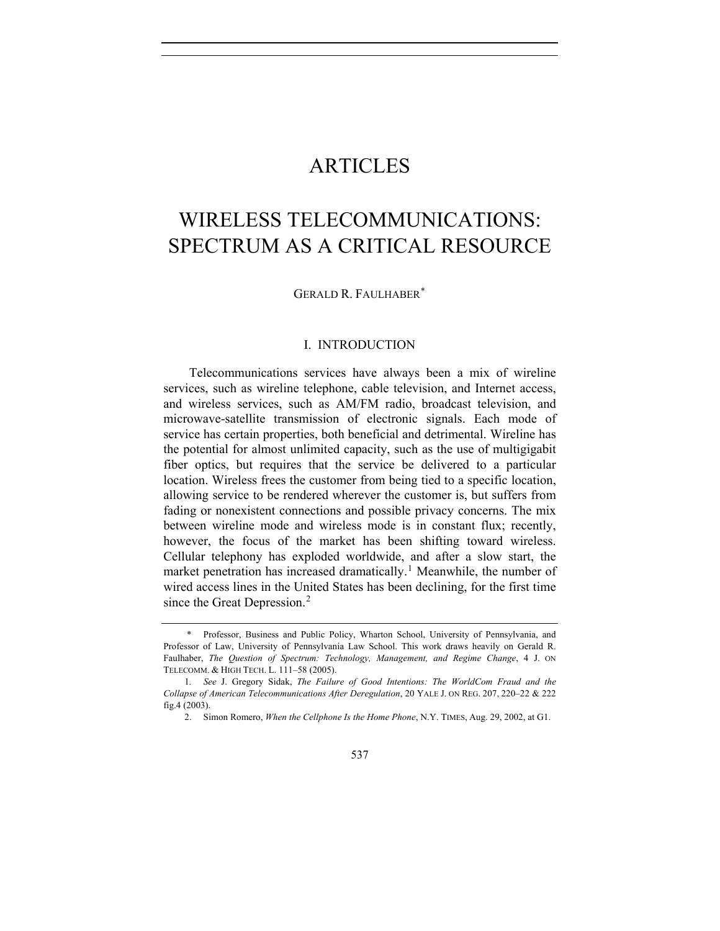# ARTICLES

# WIRELESS TELECOMMUNICATIONS: SPECTRUM AS A CRITICAL RESOURCE

GERALD R. FAULHABER[\\*](#page-0-0)

#### I. INTRODUCTION

Telecommunications services have always been a mix of wireline services, such as wireline telephone, cable television, and Internet access, and wireless services, such as AM/FM radio, broadcast television, and microwave-satellite transmission of electronic signals. Each mode of service has certain properties, both beneficial and detrimental. Wireline has the potential for almost unlimited capacity, such as the use of multigigabit fiber optics, but requires that the service be delivered to a particular location. Wireless frees the customer from being tied to a specific location, allowing service to be rendered wherever the customer is, but suffers from fading or nonexistent connections and possible privacy concerns. The mix between wireline mode and wireless mode is in constant flux; recently, however, the focus of the market has been shifting toward wireless. Cellular telephony has exploded worldwide, and after a slow start, the market penetration has increased dramatically.<sup>[1](#page-0-1)</sup> Meanwhile, the number of wired access lines in the United States has been declining, for the first time since the Great Depression.<sup>[2](#page-0-2)</sup>

<span id="page-0-0"></span> <sup>\*</sup> Professor, Business and Public Policy, Wharton School, University of Pennsylvania, and Professor of Law, University of Pennsylvania Law School. This work draws heavily on Gerald R. Faulhaber, *The Question of Spectrum: Technology, Management, and Regime Change*, 4 J. ON TELECOMM. & HIGH TECH. L. 111–58 (2005).

<span id="page-0-2"></span><span id="page-0-1"></span><sup>1</sup>*. See* J. Gregory Sidak, *The Failure of Good Intentions: The WorldCom Fraud and the Collapse of American Telecommunications After Deregulation*, 20 YALE J. ON REG. 207, 220–22 & 222 fig.4 (2003).

<sup>2.</sup> Simon Romero, *When the Cellphone Is the Home Phone*, N.Y. TIMES, Aug. 29, 2002, at G1.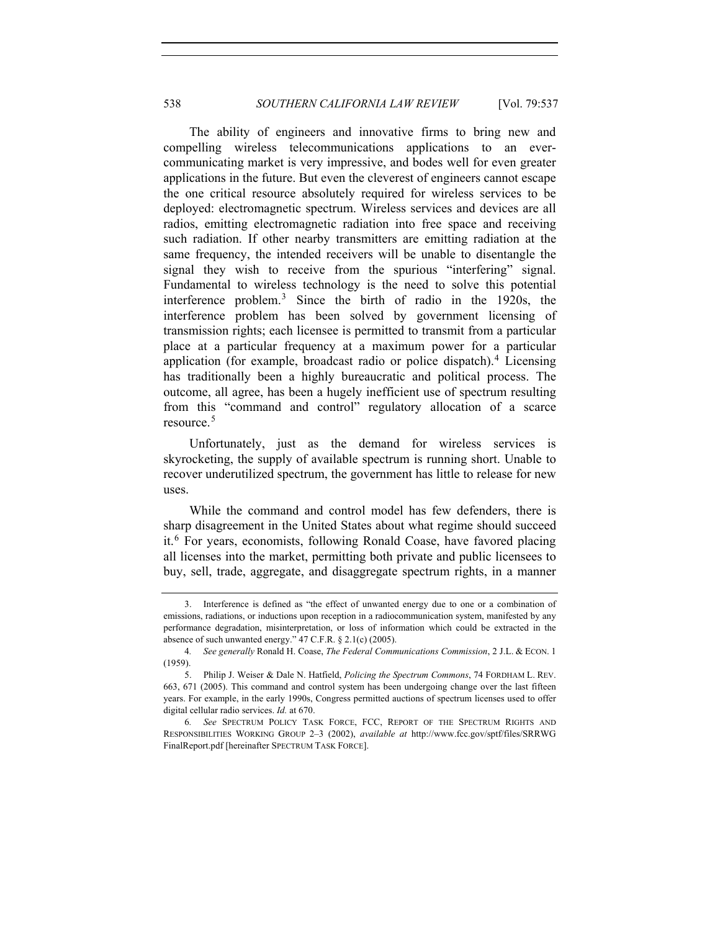The ability of engineers and innovative firms to bring new and compelling wireless telecommunications applications to an evercommunicating market is very impressive, and bodes well for even greater applications in the future. But even the cleverest of engineers cannot escape the one critical resource absolutely required for wireless services to be deployed: electromagnetic spectrum. Wireless services and devices are all radios, emitting electromagnetic radiation into free space and receiving such radiation. If other nearby transmitters are emitting radiation at the same frequency, the intended receivers will be unable to disentangle the signal they wish to receive from the spurious "interfering" signal. Fundamental to wireless technology is the need to solve this potential interference problem.[3](#page-1-0) Since the birth of radio in the 1920s, the interference problem has been solved by government licensing of transmission rights; each licensee is permitted to transmit from a particular place at a particular frequency at a maximum power for a particular application (for example, broadcast radio or police dispatch). $4$  Licensing has traditionally been a highly bureaucratic and political process. The outcome, all agree, has been a hugely inefficient use of spectrum resulting from this "command and control" regulatory allocation of a scarce resource.<sup>[5](#page-1-2)</sup>

Unfortunately, just as the demand for wireless services is skyrocketing, the supply of available spectrum is running short. Unable to recover underutilized spectrum, the government has little to release for new uses.

While the command and control model has few defenders, there is sharp disagreement in the United States about what regime should succeed it.[6](#page-1-3) For years, economists, following Ronald Coase, have favored placing all licenses into the market, permitting both private and public licensees to buy, sell, trade, aggregate, and disaggregate spectrum rights, in a manner

<span id="page-1-0"></span><sup>3.</sup> Interference is defined as "the effect of unwanted energy due to one or a combination of emissions, radiations, or inductions upon reception in a radiocommunication system, manifested by any performance degradation, misinterpretation, or loss of information which could be extracted in the absence of such unwanted energy." 47 C.F.R. § 2.1(c) (2005).

<span id="page-1-1"></span><sup>4</sup>*. See generally* Ronald H. Coase, *The Federal Communications Commission*, 2 J.L. & ECON. 1 (1959).

<span id="page-1-2"></span><sup>5.</sup> Philip J. Weiser & Dale N. Hatfield, *Policing the Spectrum Commons*, 74 FORDHAM L. REV. 663, 671 (2005). This command and control system has been undergoing change over the last fifteen years. For example, in the early 1990s, Congress permitted auctions of spectrum licenses used to offer digital cellular radio services. *Id.* at 670.

<span id="page-1-3"></span><sup>6</sup>*. See* SPECTRUM POLICY TASK FORCE, FCC, REPORT OF THE SPECTRUM RIGHTS AND RESPONSIBILITIES WORKING GROUP 2–3 (2002), *available at* http://www.fcc.gov/sptf/files/SRRWG FinalReport.pdf [hereinafter SPECTRUM TASK FORCE].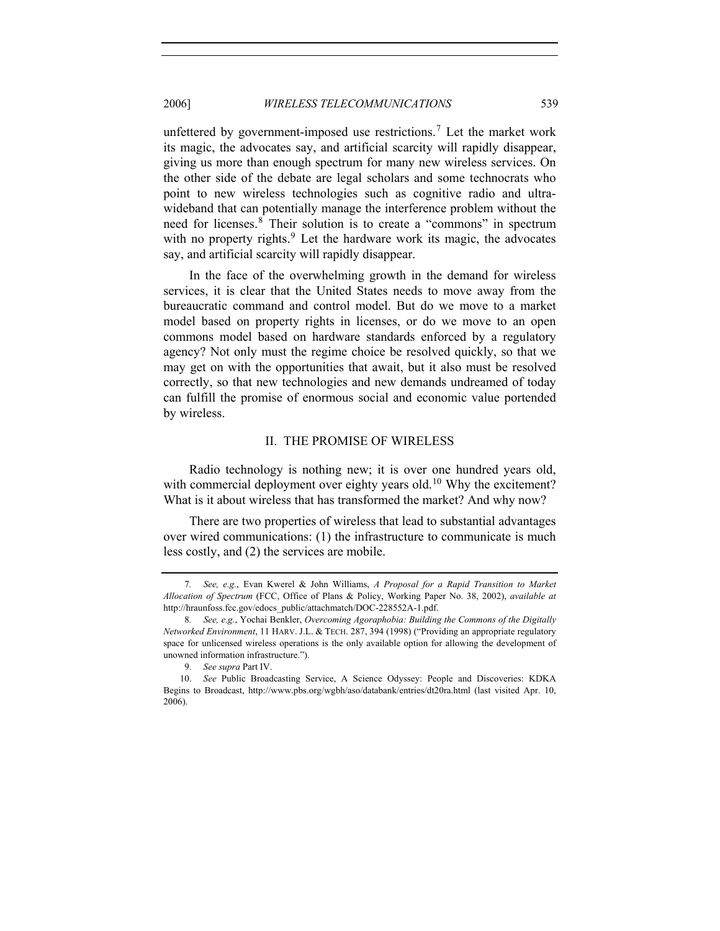unfettered by government-imposed use restrictions.<sup>[7](#page-2-0)</sup> Let the market work its magic, the advocates say, and artificial scarcity will rapidly disappear, giving us more than enough spectrum for many new wireless services. On the other side of the debate are legal scholars and some technocrats who point to new wireless technologies such as cognitive radio and ultrawideband that can potentially manage the interference problem without the need for licenses.<sup>[8](#page-2-1)</sup> Their solution is to create a "commons" in spectrum with no property rights. $9$  Let the hardware work its magic, the advocates say, and artificial scarcity will rapidly disappear.

In the face of the overwhelming growth in the demand for wireless services, it is clear that the United States needs to move away from the bureaucratic command and control model. But do we move to a market model based on property rights in licenses, or do we move to an open commons model based on hardware standards enforced by a regulatory agency? Not only must the regime choice be resolved quickly, so that we may get on with the opportunities that await, but it also must be resolved correctly, so that new technologies and new demands undreamed of today can fulfill the promise of enormous social and economic value portended by wireless.

#### II. THE PROMISE OF WIRELESS

Radio technology is nothing new; it is over one hundred years old, with commercial deployment over eighty years old.<sup>[10](#page-2-3)</sup> Why the excitement? What is it about wireless that has transformed the market? And why now?

There are two properties of wireless that lead to substantial advantages over wired communications: (1) the infrastructure to communicate is much less costly, and (2) the services are mobile.

<span id="page-2-0"></span><sup>7</sup>*. See, e.g.*, Evan Kwerel & John Williams, *A Proposal for a Rapid Transition to Market Allocation of Spectrum* (FCC, Office of Plans & Policy, Working Paper No. 38, 2002), *available at*  http://hraunfoss.fcc.gov/edocs\_public/attachmatch/DOC-228552A-1.pdf.

<span id="page-2-1"></span><sup>8</sup>*. See, e.g.*, Yochai Benkler, *Overcoming Agoraphobia: Building the Commons of the Digitally Networked Environment*, 11 HARV. J.L. & TECH. 287, 394 (1998) ("Providing an appropriate regulatory space for unlicensed wireless operations is the only available option for allowing the development of unowned information infrastructure.").

 <sup>9.</sup> *See supra* Part IV.

<span id="page-2-3"></span><span id="page-2-2"></span><sup>10.</sup> *See* Public Broadcasting Service, A Science Odyssey: People and Discoveries: KDKA Begins to Broadcast, http://www.pbs.org/wgbh/aso/databank/entries/dt20ra.html (last visited Apr. 10, 2006).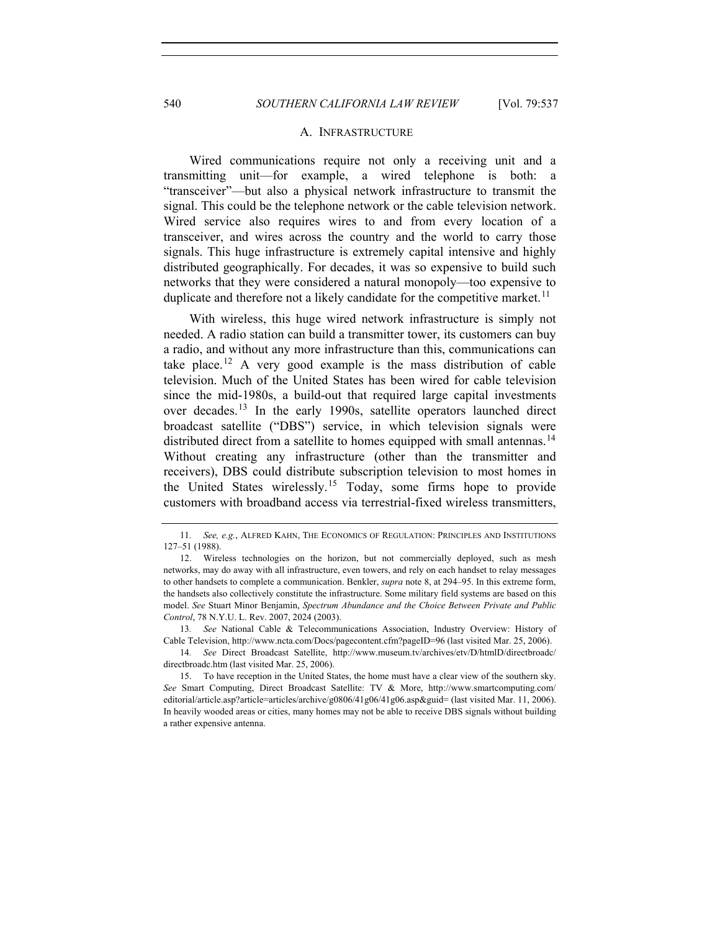#### A. INFRASTRUCTURE

Wired communications require not only a receiving unit and a transmitting unit—for example, a wired telephone is both: a "transceiver"—but also a physical network infrastructure to transmit the signal. This could be the telephone network or the cable television network. Wired service also requires wires to and from every location of a transceiver, and wires across the country and the world to carry those signals. This huge infrastructure is extremely capital intensive and highly distributed geographically. For decades, it was so expensive to build such networks that they were considered a natural monopoly—too expensive to duplicate and therefore not a likely candidate for the competitive market.<sup>[11](#page-3-0)</sup>

With wireless, this huge wired network infrastructure is simply not needed. A radio station can build a transmitter tower, its customers can buy a radio, and without any more infrastructure than this, communications can take place.<sup>[12](#page-3-1)</sup> A very good example is the mass distribution of cable television. Much of the United States has been wired for cable television since the mid-1980s, a build-out that required large capital investments over decades.[13](#page-3-2) In the early 1990s, satellite operators launched direct broadcast satellite ("DBS") service, in which television signals were distributed direct from a satellite to homes equipped with small antennas.<sup>[14](#page-3-3)</sup> Without creating any infrastructure (other than the transmitter and receivers), DBS could distribute subscription television to most homes in the United States wirelessly.[15](#page-3-4) Today, some firms hope to provide customers with broadband access via terrestrial-fixed wireless transmitters,

<span id="page-3-2"></span>13*. See* National Cable & Telecommunications Association, Industry Overview: History of Cable Television, http://www.ncta.com/Docs/pagecontent.cfm?pageID=96 (last visited Mar. 25, 2006).

<span id="page-3-3"></span>14*. See* Direct Broadcast Satellite, http://www.museum.tv/archives/etv/D/htmlD/directbroadc/ directbroadc.htm (last visited Mar. 25, 2006).

<span id="page-3-0"></span><sup>11</sup>*. See, e.g.*, ALFRED KAHN, THE ECONOMICS OF REGULATION: PRINCIPLES AND INSTITUTIONS 127–51 (1988).

<span id="page-3-1"></span><sup>12.</sup> Wireless technologies on the horizon, but not commercially deployed, such as mesh networks, may do away with all infrastructure, even towers, and rely on each handset to relay messages to other handsets to complete a communication. Benkler, *supra* note 8, at 294–95. In this extreme form, the handsets also collectively constitute the infrastructure. Some military field systems are based on this model. *See* Stuart Minor Benjamin, *Spectrum Abundance and the Choice Between Private and Public Control*, 78 N.Y.U. L. Rev. 2007, 2024 (2003).

<span id="page-3-4"></span><sup>15.</sup> To have reception in the United States, the home must have a clear view of the southern sky. *See* Smart Computing, Direct Broadcast Satellite: TV & More, http://www.smartcomputing.com/ editorial/article.asp?article=articles/archive/g0806/41g06/41g06.asp&guid= (last visited Mar. 11, 2006). In heavily wooded areas or cities, many homes may not be able to receive DBS signals without building a rather expensive antenna.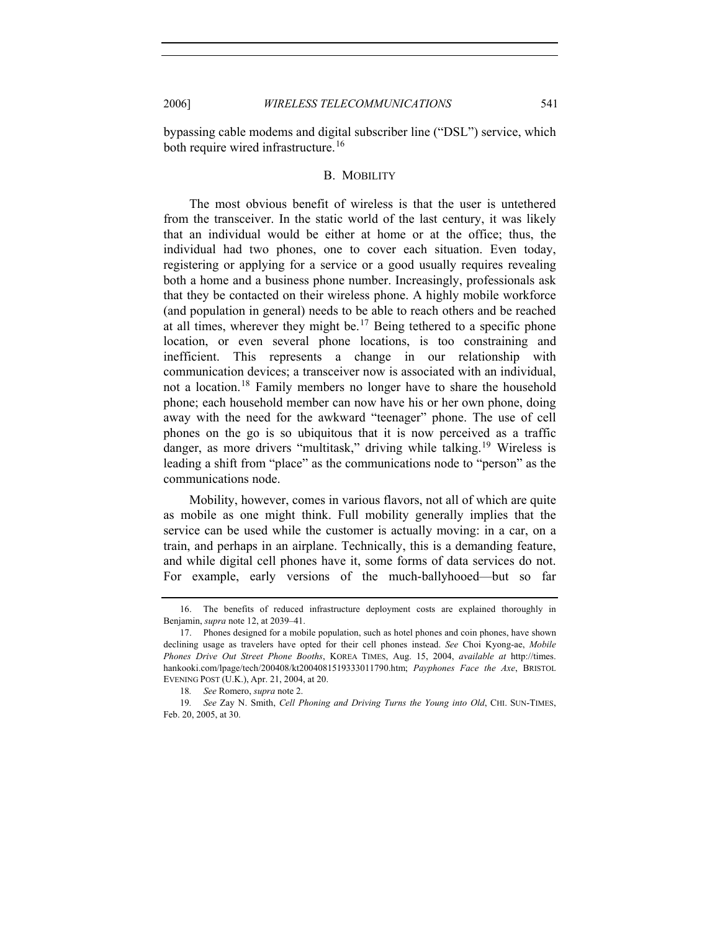bypassing cable modems and digital subscriber line ("DSL") service, which both require wired infrastructure.<sup>[16](#page-4-0)</sup>

#### B. MOBILITY

The most obvious benefit of wireless is that the user is untethered from the transceiver. In the static world of the last century, it was likely that an individual would be either at home or at the office; thus, the individual had two phones, one to cover each situation. Even today, registering or applying for a service or a good usually requires revealing both a home and a business phone number. Increasingly, professionals ask that they be contacted on their wireless phone. A highly mobile workforce (and population in general) needs to be able to reach others and be reached at all times, wherever they might be.<sup>[17](#page-4-1)</sup> Being tethered to a specific phone location, or even several phone locations, is too constraining and inefficient. This represents a change in our relationship with communication devices; a transceiver now is associated with an individual, not a location.<sup>[18](#page-4-2)</sup> Family members no longer have to share the household phone; each household member can now have his or her own phone, doing away with the need for the awkward "teenager" phone. The use of cell phones on the go is so ubiquitous that it is now perceived as a traffic danger, as more drivers "multitask," driving while talking.<sup>[19](#page-4-3)</sup> Wireless is leading a shift from "place" as the communications node to "person" as the communications node.

Mobility, however, comes in various flavors, not all of which are quite as mobile as one might think. Full mobility generally implies that the service can be used while the customer is actually moving: in a car, on a train, and perhaps in an airplane. Technically, this is a demanding feature, and while digital cell phones have it, some forms of data services do not. For example, early versions of the much-ballyhooed—but so far

<span id="page-4-0"></span><sup>16.</sup> The benefits of reduced infrastructure deployment costs are explained thoroughly in Benjamin, *supra* note 12, at 2039–41.

<span id="page-4-1"></span><sup>17.</sup> Phones designed for a mobile population, such as hotel phones and coin phones, have shown declining usage as travelers have opted for their cell phones instead. *See* Choi Kyong-ae, *Mobile Phones Drive Out Street Phone Booths*, KOREA TIMES, Aug. 15, 2004, *available at* http://times. hankooki.com/lpage/tech/200408/kt2004081519333011790.htm; *Payphones Face the Axe*, BRISTOL EVENING POST (U.K.), Apr. 21, 2004, at 20.

<sup>18</sup>*. See* Romero, *supra* note 2.

<span id="page-4-3"></span><span id="page-4-2"></span><sup>19</sup>*. See* Zay N. Smith, *Cell Phoning and Driving Turns the Young into Old*, CHI. SUN-TIMES, Feb. 20, 2005, at 30.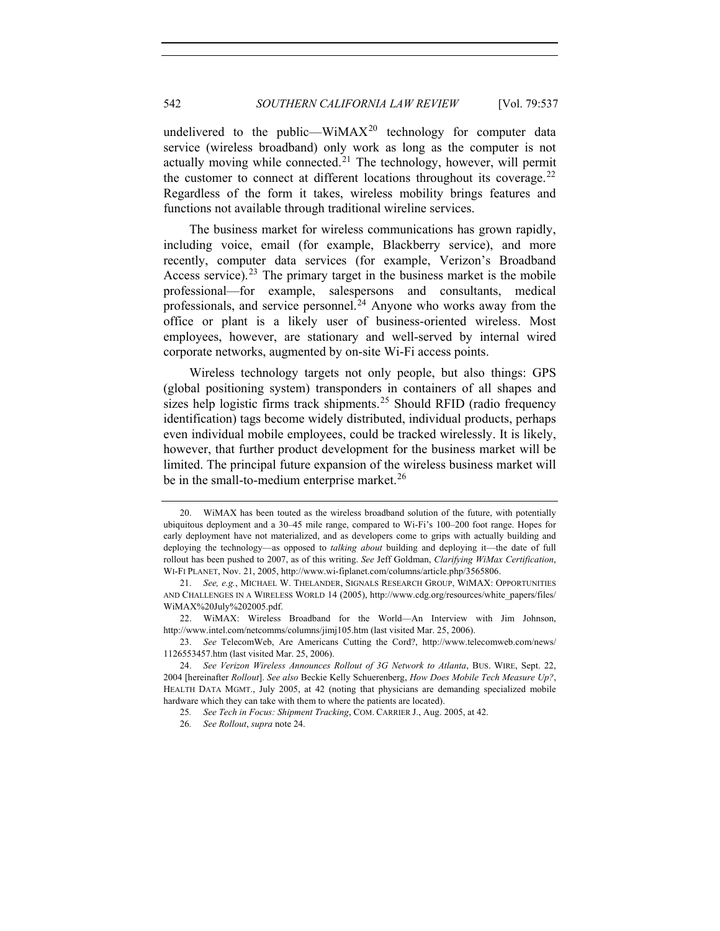undelivered to the public—WiMA $X^{20}$  $X^{20}$  $X^{20}$  technology for computer data service (wireless broadband) only work as long as the computer is not actually moving while connected.<sup>[21](#page-5-1)</sup> The technology, however, will permit the customer to connect at different locations throughout its coverage.<sup>[22](#page-5-2)</sup> Regardless of the form it takes, wireless mobility brings features and functions not available through traditional wireline services.

The business market for wireless communications has grown rapidly, including voice, email (for example, Blackberry service), and more recently, computer data services (for example, Verizon's Broadband Access service).<sup>[23](#page-5-3)</sup> The primary target in the business market is the mobile professional—for example, salespersons and consultants, medical professionals, and service personnel.<sup>[24](#page-5-4)</sup> Anyone who works away from the office or plant is a likely user of business-oriented wireless. Most employees, however, are stationary and well-served by internal wired corporate networks, augmented by on-site Wi-Fi access points.

Wireless technology targets not only people, but also things: GPS (global positioning system) transponders in containers of all shapes and sizes help logistic firms track shipments.<sup>[25](#page-5-5)</sup> Should RFID (radio frequency identification) tags become widely distributed, individual products, perhaps even individual mobile employees, could be tracked wirelessly. It is likely, however, that further product development for the business market will be limited. The principal future expansion of the wireless business market will be in the small-to-medium enterprise market.<sup>[26](#page-5-6)</sup>

<span id="page-5-0"></span><sup>20.</sup> WiMAX has been touted as the wireless broadband solution of the future, with potentially ubiquitous deployment and a 30–45 mile range, compared to Wi-Fi's 100–200 foot range. Hopes for early deployment have not materialized, and as developers come to grips with actually building and deploying the technology—as opposed to *talking about* building and deploying it—the date of full rollout has been pushed to 2007, as of this writing. *See* Jeff Goldman, *Clarifying WiMax Certification*, WI-FI PLANET, Nov. 21, 2005, http://www.wi-fiplanet.com/columns/article.php/3565806.

<span id="page-5-1"></span><sup>21.</sup> *See, e.g.*, MICHAEL W. THELANDER, SIGNALS RESEARCH GROUP, WIMAX: OPPORTUNITIES AND CHALLENGES IN A WIRELESS WORLD 14 (2005), http://www.cdg.org/resources/white\_papers/files/ WiMAX%20July%202005.pdf.

<span id="page-5-2"></span><sup>22.</sup> WiMAX: Wireless Broadband for the World—An Interview with Jim Johnson, http://www.intel.com/netcomms/columns/jimj105.htm (last visited Mar. 25, 2006).

<span id="page-5-3"></span><sup>23.</sup> *See* TelecomWeb, Are Americans Cutting the Cord?, http://www.telecomweb.com/news/ 1126553457.htm (last visited Mar. 25, 2006).

<span id="page-5-6"></span><span id="page-5-5"></span><span id="page-5-4"></span><sup>24.</sup> *See Verizon Wireless Announces Rollout of 3G Network to Atlanta*, BUS. WIRE, Sept. 22, 2004 [hereinafter *Rollout*]. *See also* Beckie Kelly Schuerenberg, *How Does Mobile Tech Measure Up?*, HEALTH DATA MGMT., July 2005, at 42 (noting that physicians are demanding specialized mobile hardware which they can take with them to where the patients are located).

<sup>25</sup>*. See Tech in Focus: Shipment Tracking*, COM. CARRIER J., Aug. 2005, at 42.

<sup>26</sup>*. See Rollout*, *supra* note 24.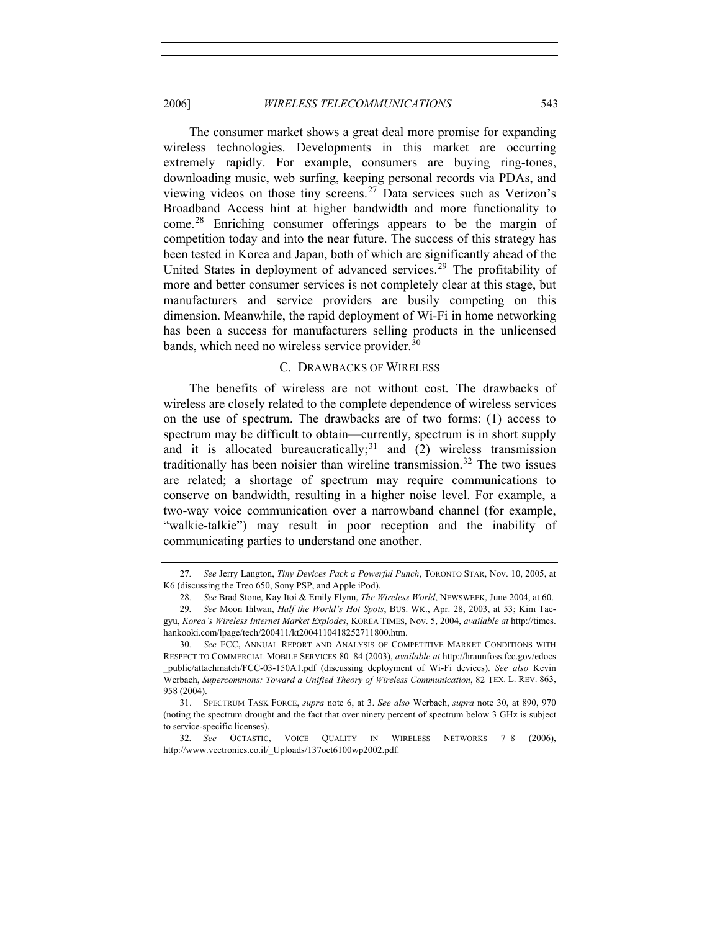#### 2006] *WIRELESS TELECOMMUNICATIONS* 543

The consumer market shows a great deal more promise for expanding wireless technologies. Developments in this market are occurring extremely rapidly. For example, consumers are buying ring-tones, downloading music, web surfing, keeping personal records via PDAs, and viewing videos on those tiny screens.<sup>[27](#page-6-0)</sup> Data services such as Verizon's Broadband Access hint at higher bandwidth and more functionality to come.[28](#page-6-1) Enriching consumer offerings appears to be the margin of competition today and into the near future. The success of this strategy has been tested in Korea and Japan, both of which are significantly ahead of the United States in deployment of advanced services.<sup>[29](#page-6-2)</sup> The profitability of more and better consumer services is not completely clear at this stage, but manufacturers and service providers are busily competing on this dimension. Meanwhile, the rapid deployment of Wi-Fi in home networking has been a success for manufacturers selling products in the unlicensed bands, which need no wireless service provider.<sup>[30](#page-6-3)</sup>

#### C. DRAWBACKS OF WIRELESS

The benefits of wireless are not without cost. The drawbacks of wireless are closely related to the complete dependence of wireless services on the use of spectrum. The drawbacks are of two forms: (1) access to spectrum may be difficult to obtain—currently, spectrum is in short supply and it is allocated bureaucratically;<sup>[31](#page-6-4)</sup> and (2) wireless transmission traditionally has been noisier than wireline transmission.<sup>[32](#page-6-5)</sup> The two issues are related; a shortage of spectrum may require communications to conserve on bandwidth, resulting in a higher noise level. For example, a two-way voice communication over a narrowband channel (for example, "walkie-talkie") may result in poor reception and the inability of communicating parties to understand one another.

<span id="page-6-0"></span><sup>27</sup>*. See* Jerry Langton, *Tiny Devices Pack a Powerful Punch*, TORONTO STAR, Nov. 10, 2005, at K6 (discussing the Treo 650, Sony PSP, and Apple iPod).

<sup>28</sup>*. See* Brad Stone, Kay Itoi & Emily Flynn, *The Wireless World*, NEWSWEEK, June 2004, at 60.

<span id="page-6-2"></span><span id="page-6-1"></span><sup>29</sup>*. See* Moon Ihlwan, *Half the World's Hot Spots*, BUS. WK., Apr. 28, 2003, at 53; Kim Taegyu, *Korea's Wireless Internet Market Explodes*, KOREA TIMES, Nov. 5, 2004, *available at* http://times. hankooki.com/lpage/tech/200411/kt2004110418252711800.htm.

<span id="page-6-3"></span><sup>30</sup>*. See* FCC, ANNUAL REPORT AND ANALYSIS OF COMPETITIVE MARKET CONDITIONS WITH RESPECT TO COMMERCIAL MOBILE SERVICES 80–84 (2003), *available at* http://hraunfoss.fcc.gov/edocs \_public/attachmatch/FCC-03-150A1.pdf (discussing deployment of Wi-Fi devices). *See also* Kevin Werbach, *Supercommons: Toward a Unified Theory of Wireless Communication*, 82 TEX. L. REV. 863, 958 (2004).

<span id="page-6-4"></span><sup>31.</sup> SPECTRUM TASK FORCE, *supra* note 6, at 3. *See also* Werbach, *supra* note 30, at 890, 970 (noting the spectrum drought and the fact that over ninety percent of spectrum below 3 GHz is subject to service-specific licenses).

<span id="page-6-5"></span><sup>32</sup>*. See* OCTASTIC, VOICE QUALITY IN WIRELESS NETWORKS 7–8 (2006), http://www.vectronics.co.il/\_Uploads/137oct6100wp2002.pdf.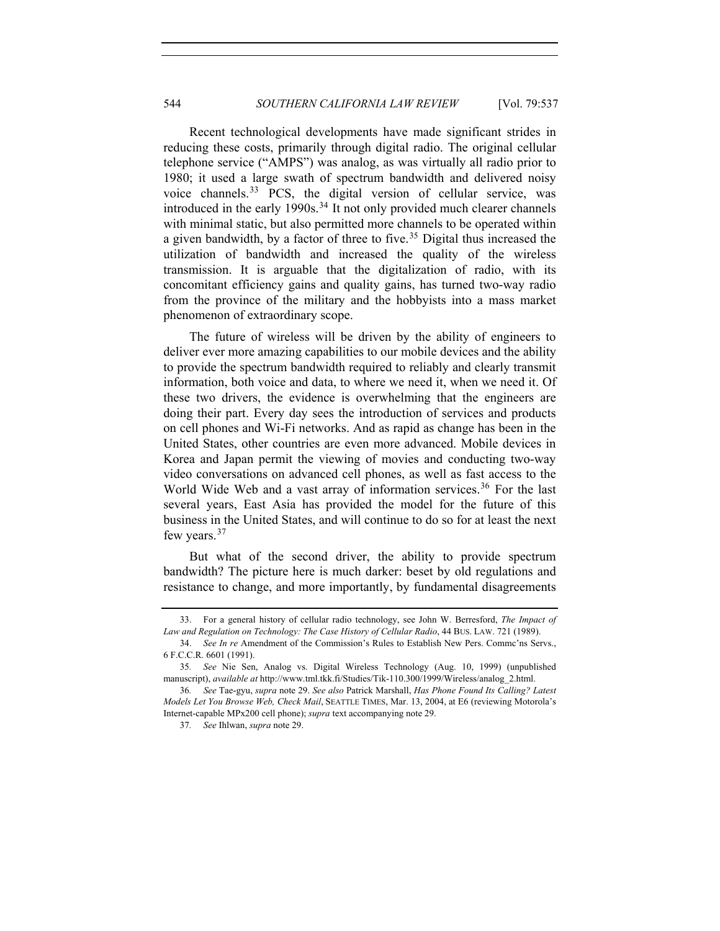Recent technological developments have made significant strides in reducing these costs, primarily through digital radio. The original cellular telephone service ("AMPS") was analog, as was virtually all radio prior to 1980; it used a large swath of spectrum bandwidth and delivered noisy voice channels.<sup>[33](#page-7-0)</sup> PCS, the digital version of cellular service, was introduced in the early 1990s.<sup>[34](#page-7-1)</sup> It not only provided much clearer channels with minimal static, but also permitted more channels to be operated within a given bandwidth, by a factor of three to five.<sup>[35](#page-7-2)</sup> Digital thus increased the utilization of bandwidth and increased the quality of the wireless transmission. It is arguable that the digitalization of radio, with its concomitant efficiency gains and quality gains, has turned two-way radio from the province of the military and the hobbyists into a mass market phenomenon of extraordinary scope.

The future of wireless will be driven by the ability of engineers to deliver ever more amazing capabilities to our mobile devices and the ability to provide the spectrum bandwidth required to reliably and clearly transmit information, both voice and data, to where we need it, when we need it. Of these two drivers, the evidence is overwhelming that the engineers are doing their part. Every day sees the introduction of services and products on cell phones and Wi-Fi networks. And as rapid as change has been in the United States, other countries are even more advanced. Mobile devices in Korea and Japan permit the viewing of movies and conducting two-way video conversations on advanced cell phones, as well as fast access to the World Wide Web and a vast array of information services.<sup>[36](#page-7-3)</sup> For the last several years, East Asia has provided the model for the future of this business in the United States, and will continue to do so for at least the next few years.<sup>[37](#page-7-4)</sup>

But what of the second driver, the ability to provide spectrum bandwidth? The picture here is much darker: beset by old regulations and resistance to change, and more importantly, by fundamental disagreements

<span id="page-7-0"></span><sup>33.</sup> For a general history of cellular radio technology, see John W. Berresford, *The Impact of Law and Regulation on Technology: The Case History of Cellular Radio*, 44 BUS. LAW. 721 (1989).

<span id="page-7-1"></span><sup>34.</sup> *See In re* Amendment of the Commission's Rules to Establish New Pers. Commc'ns Servs., 6 F.C.C.R. 6601 (1991).

<span id="page-7-2"></span><sup>35</sup>*. See* Nie Sen, Analog vs. Digital Wireless Technology (Aug. 10, 1999) (unpublished manuscript), *available at* http://www.tml.tkk.fi/Studies/Tik-110.300/1999/Wireless/analog\_2.html.

<span id="page-7-4"></span><span id="page-7-3"></span><sup>36</sup>*. See* Tae-gyu, *supra* note 29. *See also* Patrick Marshall, *Has Phone Found Its Calling? Latest Models Let You Browse Web, Check Mail*, SEATTLE TIMES, Mar. 13, 2004, at E6 (reviewing Motorola's Internet-capable MPx200 cell phone); *supra* text accompanying note 29.

<sup>37</sup>*. See* Ihlwan, *supra* note 29.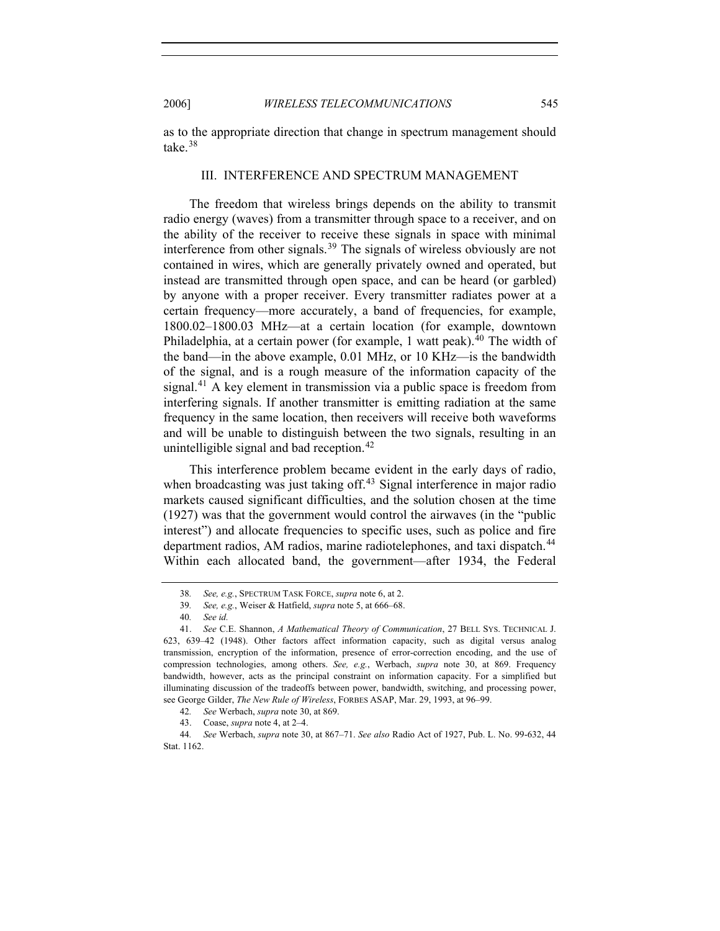as to the appropriate direction that change in spectrum management should take.[38](#page-8-0)

#### III. INTERFERENCE AND SPECTRUM MANAGEMENT

The freedom that wireless brings depends on the ability to transmit radio energy (waves) from a transmitter through space to a receiver, and on the ability of the receiver to receive these signals in space with minimal interference from other signals.<sup>[39](#page-8-1)</sup> The signals of wireless obviously are not contained in wires, which are generally privately owned and operated, but instead are transmitted through open space, and can be heard (or garbled) by anyone with a proper receiver. Every transmitter radiates power at a certain frequency—more accurately, a band of frequencies, for example, 1800.02–1800.03 MHz—at a certain location (for example, downtown Philadelphia, at a certain power (for example, 1 watt peak).<sup>[40](#page-8-2)</sup> The width of the band—in the above example, 0.01 MHz, or 10 KHz—is the bandwidth of the signal, and is a rough measure of the information capacity of the signal.<sup>[41](#page-8-3)</sup> A key element in transmission via a public space is freedom from interfering signals. If another transmitter is emitting radiation at the same frequency in the same location, then receivers will receive both waveforms and will be unable to distinguish between the two signals, resulting in an unintelligible signal and bad reception.<sup>[42](#page-8-4)</sup>

This interference problem became evident in the early days of radio, when broadcasting was just taking off.<sup>[43](#page-8-5)</sup> Signal interference in major radio markets caused significant difficulties, and the solution chosen at the time (1927) was that the government would control the airwaves (in the "public interest") and allocate frequencies to specific uses, such as police and fire department radios, AM radios, marine radiotelephones, and taxi dispatch.<sup>[44](#page-8-6)</sup> Within each allocated band, the government—after 1934, the Federal

<sup>38</sup>*. See, e.g.*, SPECTRUM TASK FORCE, *supra* note 6, at 2.

<sup>39</sup>*. See, e.g.*, Weiser & Hatfield, *supra* note 5, at 666–68.

<sup>40</sup>*. See id.*

<span id="page-8-3"></span><span id="page-8-2"></span><span id="page-8-1"></span><span id="page-8-0"></span><sup>41.</sup> *See* C.E. Shannon, *A Mathematical Theory of Communication*, 27 BELL SYS. TECHNICAL J. 623, 639–42 (1948). Other factors affect information capacity, such as digital versus analog transmission, encryption of the information, presence of error-correction encoding, and the use of compression technologies, among others. *See, e.g.*, Werbach, *supra* note 30, at 869. Frequency bandwidth, however, acts as the principal constraint on information capacity. For a simplified but illuminating discussion of the tradeoffs between power, bandwidth, switching, and processing power, see George Gilder, *The New Rule of Wireless*, FORBES ASAP, Mar. 29, 1993, at 96–99.

<sup>42</sup>*. See* Werbach, *supra* note 30, at 869.

<sup>43.</sup> Coase, *supra* note 4, at 2–4.

<span id="page-8-6"></span><span id="page-8-5"></span><span id="page-8-4"></span><sup>44</sup>*. See* Werbach, *supra* note 30, at 867–71. *See also* Radio Act of 1927, Pub. L. No. 99-632, 44 Stat. 1162.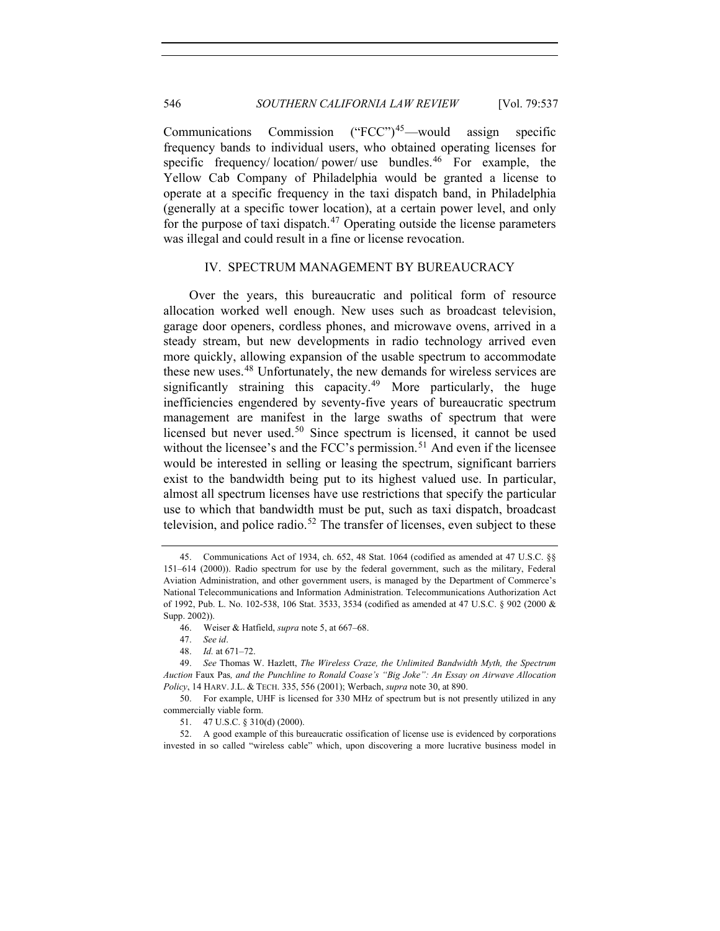Communications Commission  $(\text{``FCC''})^{45}$  $(\text{``FCC''})^{45}$  $(\text{``FCC''})^{45}$ —would assign specific frequency bands to individual users, who obtained operating licenses for specific frequency/ location/ power/ use bundles.<sup>[46](#page-9-1)</sup> For example, the Yellow Cab Company of Philadelphia would be granted a license to operate at a specific frequency in the taxi dispatch band, in Philadelphia (generally at a specific tower location), at a certain power level, and only for the purpose of taxi dispatch.<sup>[47](#page-9-2)</sup> Operating outside the license parameters was illegal and could result in a fine or license revocation.

#### IV. SPECTRUM MANAGEMENT BY BUREAUCRACY

Over the years, this bureaucratic and political form of resource allocation worked well enough. New uses such as broadcast television, garage door openers, cordless phones, and microwave ovens, arrived in a steady stream, but new developments in radio technology arrived even more quickly, allowing expansion of the usable spectrum to accommodate these new uses.<sup>[48](#page-9-3)</sup> Unfortunately, the new demands for wireless services are significantly straining this capacity.<sup>[49](#page-9-4)</sup> More particularly, the huge inefficiencies engendered by seventy-five years of bureaucratic spectrum management are manifest in the large swaths of spectrum that were licensed but never used.<sup>[50](#page-9-5)</sup> Since spectrum is licensed, it cannot be used without the licensee's and the FCC's permission.<sup>[51](#page-9-6)</sup> And even if the licensee would be interested in selling or leasing the spectrum, significant barriers exist to the bandwidth being put to its highest valued use. In particular, almost all spectrum licenses have use restrictions that specify the particular use to which that bandwidth must be put, such as taxi dispatch, broadcast television, and police radio.<sup>[52](#page-9-7)</sup> The transfer of licenses, even subject to these

51. 47 U.S.C. § 310(d) (2000).

<span id="page-9-7"></span><span id="page-9-6"></span>52. A good example of this bureaucratic ossification of license use is evidenced by corporations invested in so called "wireless cable" which, upon discovering a more lucrative business model in

<span id="page-9-0"></span><sup>45.</sup> Communications Act of 1934, ch. 652, 48 Stat. 1064 (codified as amended at 47 U.S.C. §§ 151–614 (2000)). Radio spectrum for use by the federal government, such as the military, Federal Aviation Administration, and other government users, is managed by the Department of Commerce's National Telecommunications and Information Administration. Telecommunications Authorization Act of 1992, Pub. L. No. 102-538, 106 Stat. 3533, 3534 (codified as amended at 47 U.S.C. § 902 (2000 & Supp. 2002)).

<sup>46.</sup> Weiser & Hatfield, *supra* note 5, at 667–68.

<sup>47.</sup> *See id*.

<sup>48.</sup> *Id.* at 671–72.

<span id="page-9-4"></span><span id="page-9-3"></span><span id="page-9-2"></span><span id="page-9-1"></span><sup>49.</sup> *See* Thomas W. Hazlett, *The Wireless Craze, the Unlimited Bandwidth Myth, the Spectrum Auction* Faux Pas*, and the Punchline to Ronald Coase's "Big Joke": An Essay on Airwave Allocation Policy*, 14 HARV. J.L. & TECH. 335, 556 (2001); Werbach, *supra* note 30, at 890.

<span id="page-9-5"></span><sup>50.</sup> For example, UHF is licensed for 330 MHz of spectrum but is not presently utilized in any commercially viable form.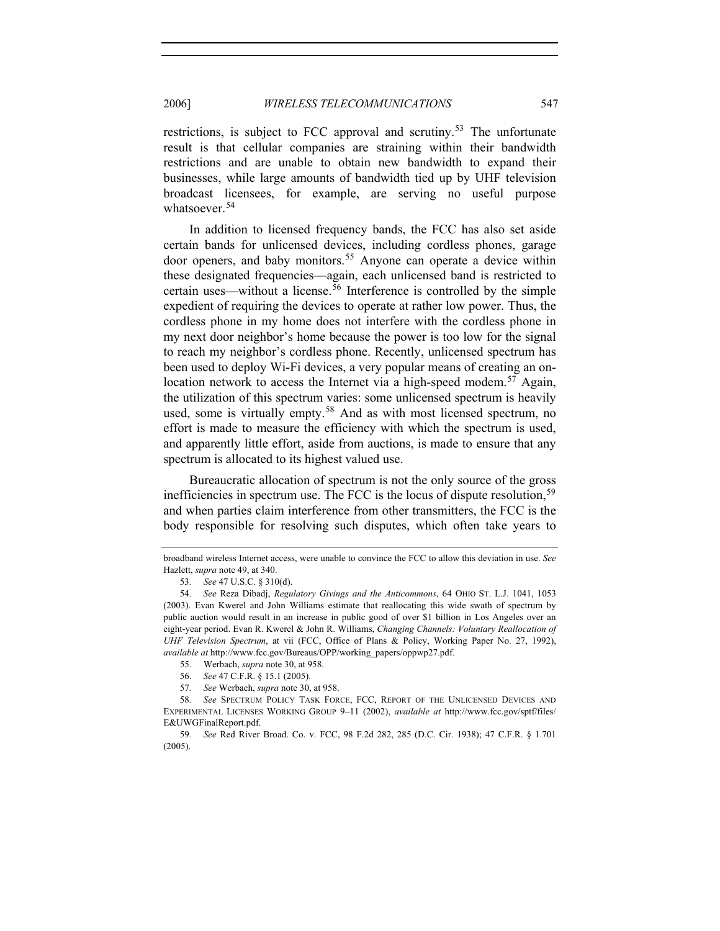restrictions, is subject to FCC approval and scrutiny.<sup>[53](#page-10-0)</sup> The unfortunate result is that cellular companies are straining within their bandwidth restrictions and are unable to obtain new bandwidth to expand their businesses, while large amounts of bandwidth tied up by UHF television broadcast licensees, for example, are serving no useful purpose whatsoever.<sup>[54](#page-10-1)</sup>

In addition to licensed frequency bands, the FCC has also set aside certain bands for unlicensed devices, including cordless phones, garage door openers, and baby monitors.<sup>[55](#page-10-2)</sup> Anyone can operate a device within these designated frequencies—again, each unlicensed band is restricted to certain uses—without a license.<sup>[56](#page-10-3)</sup> Interference is controlled by the simple expedient of requiring the devices to operate at rather low power. Thus, the cordless phone in my home does not interfere with the cordless phone in my next door neighbor's home because the power is too low for the signal to reach my neighbor's cordless phone. Recently, unlicensed spectrum has been used to deploy Wi-Fi devices, a very popular means of creating an on-location network to access the Internet via a high-speed modem.<sup>[57](#page-10-4)</sup> Again, the utilization of this spectrum varies: some unlicensed spectrum is heavily used, some is virtually empty.<sup>[58](#page-10-5)</sup> And as with most licensed spectrum, no effort is made to measure the efficiency with which the spectrum is used, and apparently little effort, aside from auctions, is made to ensure that any spectrum is allocated to its highest valued use.

Bureaucratic allocation of spectrum is not the only source of the gross inefficiencies in spectrum use. The FCC is the locus of dispute resolution,<sup>[59](#page-10-6)</sup> and when parties claim interference from other transmitters, the FCC is the body responsible for resolving such disputes, which often take years to

broadband wireless Internet access, were unable to convince the FCC to allow this deviation in use. *See*  Hazlett, *supra* note 49, at 340.

<sup>53</sup>*. See* 47 U.S.C. § 310(d).

<span id="page-10-1"></span><span id="page-10-0"></span><sup>54</sup>*. See* Reza Dibadj, *Regulatory Givings and the Anticommons*, 64 OHIO ST. L.J. 1041, 1053 (2003). Evan Kwerel and John Williams estimate that reallocating this wide swath of spectrum by public auction would result in an increase in public good of over \$1 billion in Los Angeles over an eight-year period. Evan R. Kwerel & John R. Williams, *Changing Channels: Voluntary Reallocation of UHF Television Spectrum*, at vii (FCC, Office of Plans & Policy, Working Paper No. 27, 1992), *available at* http://www.fcc.gov/Bureaus/OPP/working\_papers/oppwp27.pdf.

<sup>55.</sup> Werbach, *supra* note 30, at 958.

<sup>56.</sup> *See* 47 C.F.R. § 15.1 (2005).

<sup>57</sup>*. See* Werbach, *supra* note 30, at 958.

<span id="page-10-5"></span><span id="page-10-4"></span><span id="page-10-3"></span><span id="page-10-2"></span><sup>58</sup>*. See* SPECTRUM POLICY TASK FORCE, FCC, REPORT OF THE UNLICENSED DEVICES AND EXPERIMENTAL LICENSES WORKING GROUP 9–11 (2002), *available at* http://www.fcc.gov/sptf/files/ E&UWGFinalReport.pdf.

<span id="page-10-6"></span><sup>59</sup>*. See* Red River Broad. Co. v. FCC, 98 F.2d 282, 285 (D.C. Cir. 1938); 47 C.F.R. § 1.701 (2005).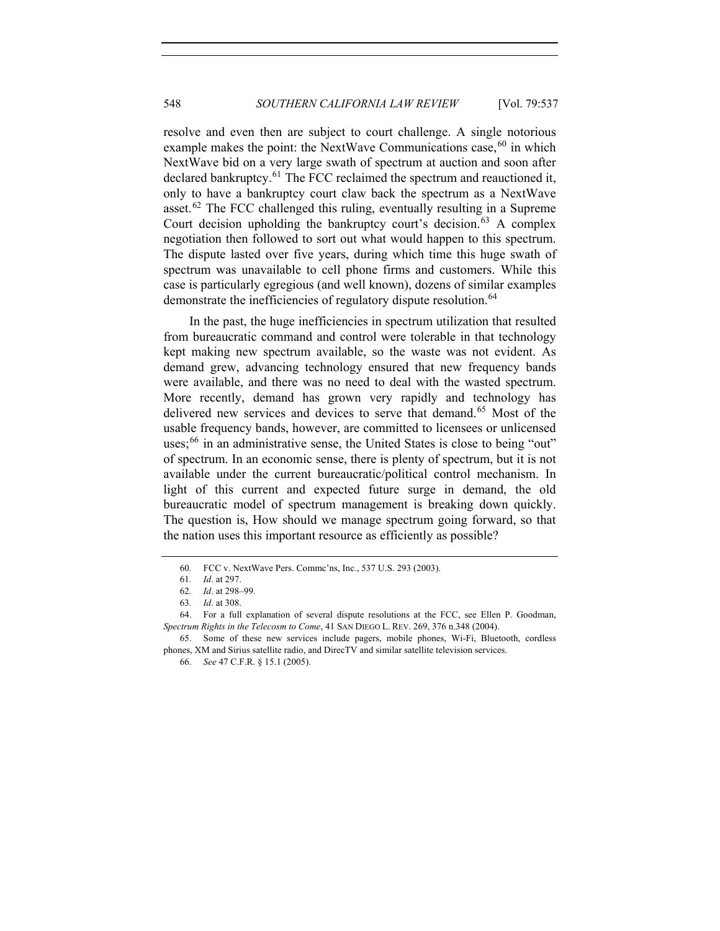resolve and even then are subject to court challenge. A single notorious example makes the point: the NextWave Communications case,  $60$  in which NextWave bid on a very large swath of spectrum at auction and soon after declared bankruptcy.<sup>[61](#page-11-1)</sup> The FCC reclaimed the spectrum and reauctioned it, only to have a bankruptcy court claw back the spectrum as a NextWave asset.<sup>[62](#page-11-2)</sup> The FCC challenged this ruling, eventually resulting in a Supreme Court decision upholding the bankruptcy court's decision.<sup>[63](#page-11-3)</sup> A complex negotiation then followed to sort out what would happen to this spectrum. The dispute lasted over five years, during which time this huge swath of spectrum was unavailable to cell phone firms and customers. While this case is particularly egregious (and well known), dozens of similar examples demonstrate the inefficiencies of regulatory dispute resolution.<sup>[64](#page-11-4)</sup>

In the past, the huge inefficiencies in spectrum utilization that resulted from bureaucratic command and control were tolerable in that technology kept making new spectrum available, so the waste was not evident. As demand grew, advancing technology ensured that new frequency bands were available, and there was no need to deal with the wasted spectrum. More recently, demand has grown very rapidly and technology has delivered new services and devices to serve that demand.<sup>[65](#page-11-5)</sup> Most of the usable frequency bands, however, are committed to licensees or unlicensed uses; $66$  in an administrative sense, the United States is close to being "out" of spectrum. In an economic sense, there is plenty of spectrum, but it is not available under the current bureaucratic/political control mechanism. In light of this current and expected future surge in demand, the old bureaucratic model of spectrum management is breaking down quickly. The question is, How should we manage spectrum going forward, so that the nation uses this important resource as efficiently as possible?

<sup>60</sup>*.* FCC v. NextWave Pers. Commc'ns, Inc., 537 U.S. 293 (2003).

<sup>61</sup>*. Id*. at 297.

<sup>62</sup>*. Id*. at 298–99.

<sup>63</sup>*. Id*. at 308.

<span id="page-11-4"></span><span id="page-11-3"></span><span id="page-11-2"></span><span id="page-11-1"></span><span id="page-11-0"></span><sup>64.</sup> For a full explanation of several dispute resolutions at the FCC, see Ellen P. Goodman, *Spectrum Rights in the Telecosm to Come*, 41 SAN DIEGO L. REV. 269, 376 n.348 (2004).

<span id="page-11-6"></span><span id="page-11-5"></span><sup>65.</sup> Some of these new services include pagers, mobile phones, Wi-Fi, Bluetooth, cordless phones, XM and Sirius satellite radio, and DirecTV and similar satellite television services.

<sup>66.</sup> *See* 47 C.F.R. § 15.1 (2005).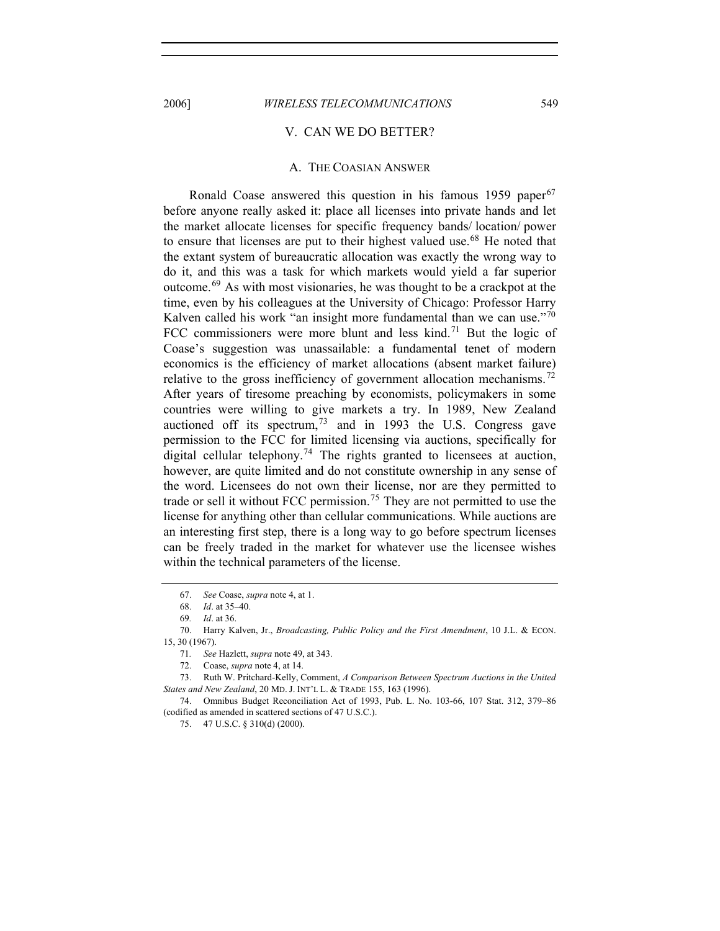#### V. CAN WE DO BETTER?

#### A. THE COASIAN ANSWER

Ronald Coase answered this question in his famous  $1959$  paper<sup>[67](#page-12-0)</sup> before anyone really asked it: place all licenses into private hands and let the market allocate licenses for specific frequency bands/ location/ power to ensure that licenses are put to their highest valued use.<sup>[68](#page-12-1)</sup> He noted that the extant system of bureaucratic allocation was exactly the wrong way to do it, and this was a task for which markets would yield a far superior outcome.[69](#page-12-2) As with most visionaries, he was thought to be a crackpot at the time, even by his colleagues at the University of Chicago: Professor Harry Kalven called his work "an insight more fundamental than we can use."<sup>[70](#page-12-3)</sup> FCC commissioners were more blunt and less kind.<sup>[71](#page-12-4)</sup> But the logic of Coase's suggestion was unassailable: a fundamental tenet of modern economics is the efficiency of market allocations (absent market failure) relative to the gross inefficiency of government allocation mechanisms.<sup>[72](#page-12-5)</sup> After years of tiresome preaching by economists, policymakers in some countries were willing to give markets a try. In 1989, New Zealand auctioned off its spectrum,  $73$  and in 1993 the U.S. Congress gave permission to the FCC for limited licensing via auctions, specifically for digital cellular telephony.<sup>[74](#page-12-7)</sup> The rights granted to licensees at auction, however, are quite limited and do not constitute ownership in any sense of the word. Licensees do not own their license, nor are they permitted to trade or sell it without FCC permission.<sup>[75](#page-12-8)</sup> They are not permitted to use the license for anything other than cellular communications. While auctions are an interesting first step, there is a long way to go before spectrum licenses can be freely traded in the market for whatever use the licensee wishes within the technical parameters of the license.

<span id="page-12-8"></span><span id="page-12-7"></span>74. Omnibus Budget Reconciliation Act of 1993, Pub. L. No. 103-66, 107 Stat. 312, 379–86 (codified as amended in scattered sections of 47 U.S.C.).

<sup>67.</sup> *See* Coase, *supra* note 4, at 1.

<sup>68.</sup> *Id*. at 35–40.

<sup>69</sup>*. Id*. at 36.

<span id="page-12-3"></span><span id="page-12-2"></span><span id="page-12-1"></span><span id="page-12-0"></span><sup>70.</sup> Harry Kalven, Jr., *Broadcasting, Public Policy and the First Amendment*, 10 J.L. & ECON. 15, 30 (1967).

<sup>71</sup>*. See* Hazlett, *supra* note 49, at 343.

<sup>72.</sup> Coase, *supra* note 4, at 14.

<span id="page-12-6"></span><span id="page-12-5"></span><span id="page-12-4"></span><sup>73.</sup> Ruth W. Pritchard-Kelly, Comment, *A Comparison Between Spectrum Auctions in the United States and New Zealand*, 20 MD. J. INT'L L. & TRADE 155, 163 (1996).

<sup>75. 47</sup> U.S.C. § 310(d) (2000).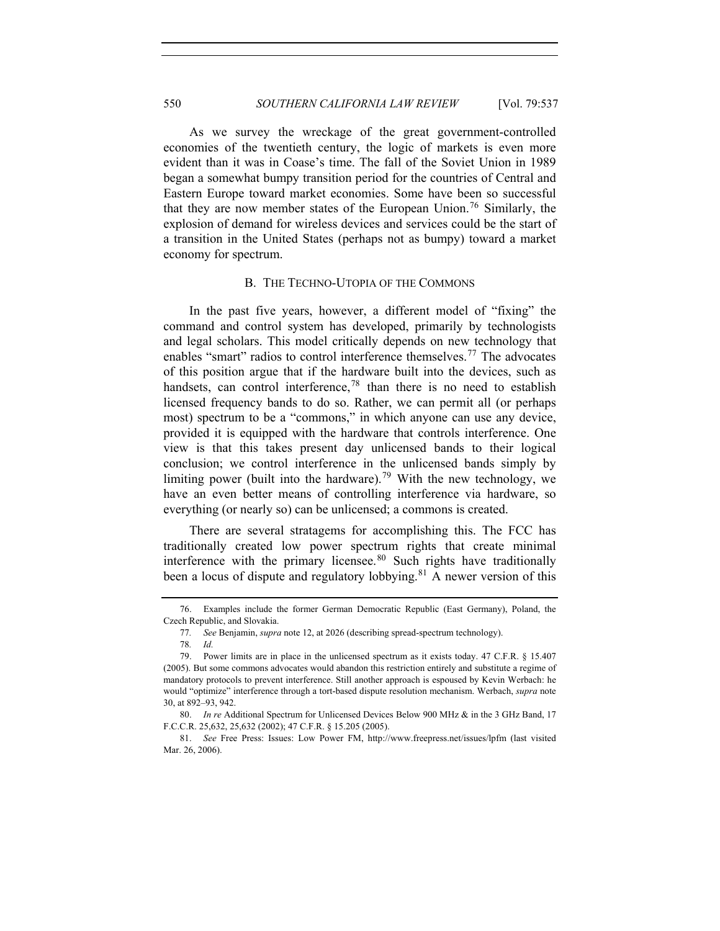As we survey the wreckage of the great government-controlled economies of the twentieth century, the logic of markets is even more evident than it was in Coase's time. The fall of the Soviet Union in 1989 began a somewhat bumpy transition period for the countries of Central and Eastern Europe toward market economies. Some have been so successful that they are now member states of the European Union.<sup>[76](#page-13-0)</sup> Similarly, the explosion of demand for wireless devices and services could be the start of a transition in the United States (perhaps not as bumpy) toward a market economy for spectrum.

#### B. THE TECHNO-UTOPIA OF THE COMMONS

In the past five years, however, a different model of "fixing" the command and control system has developed, primarily by technologists and legal scholars. This model critically depends on new technology that enables "smart" radios to control interference themselves.<sup>[77](#page-13-1)</sup> The advocates of this position argue that if the hardware built into the devices, such as handsets, can control interference,  $78$  than there is no need to establish licensed frequency bands to do so. Rather, we can permit all (or perhaps most) spectrum to be a "commons," in which anyone can use any device, provided it is equipped with the hardware that controls interference. One view is that this takes present day unlicensed bands to their logical conclusion; we control interference in the unlicensed bands simply by limiting power (built into the hardware).<sup>[79](#page-13-3)</sup> With the new technology, we have an even better means of controlling interference via hardware, so everything (or nearly so) can be unlicensed; a commons is created.

There are several stratagems for accomplishing this. The FCC has traditionally created low power spectrum rights that create minimal interference with the primary licensee.<sup>[80](#page-13-4)</sup> Such rights have traditionally been a locus of dispute and regulatory lobbying.<sup>[81](#page-13-5)</sup> A newer version of this

<span id="page-13-1"></span><span id="page-13-0"></span><sup>76.</sup> Examples include the former German Democratic Republic (East Germany), Poland, the Czech Republic, and Slovakia.

<sup>77</sup>*. See* Benjamin, *supra* note 12, at 2026 (describing spread-spectrum technology).

<sup>78</sup>*. Id.*

<span id="page-13-3"></span><span id="page-13-2"></span><sup>79.</sup> Power limits are in place in the unlicensed spectrum as it exists today. 47 C.F.R. § 15.407 (2005). But some commons advocates would abandon this restriction entirely and substitute a regime of mandatory protocols to prevent interference. Still another approach is espoused by Kevin Werbach: he would "optimize" interference through a tort-based dispute resolution mechanism. Werbach, *supra* note 30, at 892–93, 942.

<span id="page-13-4"></span><sup>80.</sup> *In re* Additional Spectrum for Unlicensed Devices Below 900 MHz & in the 3 GHz Band, 17 F.C.C.R. 25,632, 25,632 (2002); 47 C.F.R. § 15.205 (2005).

<span id="page-13-5"></span><sup>81.</sup> *See* Free Press: Issues: Low Power FM, http://www.freepress.net/issues/lpfm (last visited Mar. 26, 2006).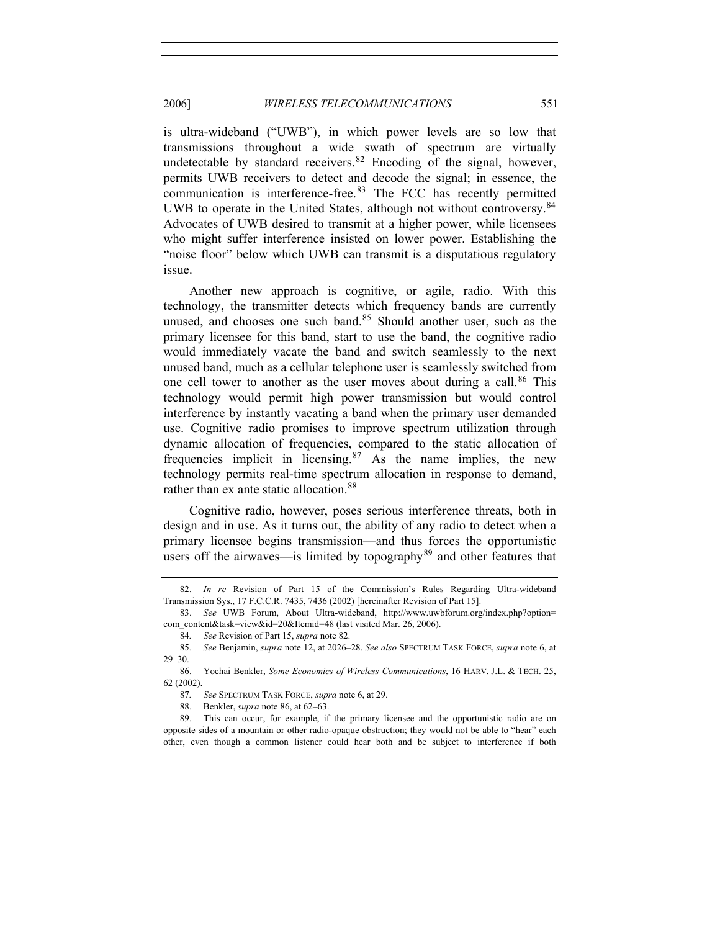is ultra-wideband ("UWB"), in which power levels are so low that transmissions throughout a wide swath of spectrum are virtually undetectable by standard receivers.  $82$  Encoding of the signal, however, permits UWB receivers to detect and decode the signal; in essence, the communication is interference-free.<sup>[83](#page-14-1)</sup> The FCC has recently permitted UWB to operate in the United States, although not without controversy.<sup>[84](#page-14-2)</sup> Advocates of UWB desired to transmit at a higher power, while licensees who might suffer interference insisted on lower power. Establishing the "noise floor" below which UWB can transmit is a disputatious regulatory issue.

Another new approach is cognitive, or agile, radio. With this technology, the transmitter detects which frequency bands are currently unused, and chooses one such band.<sup>[85](#page-14-3)</sup> Should another user, such as the primary licensee for this band, start to use the band, the cognitive radio would immediately vacate the band and switch seamlessly to the next unused band, much as a cellular telephone user is seamlessly switched from one cell tower to another as the user moves about during a call.<sup>[86](#page-14-4)</sup> This technology would permit high power transmission but would control interference by instantly vacating a band when the primary user demanded use. Cognitive radio promises to improve spectrum utilization through dynamic allocation of frequencies, compared to the static allocation of frequencies implicit in licensing.[87](#page-14-5) As the name implies, the new technology permits real-time spectrum allocation in response to demand, rather than ex ante static allocation.<sup>[88](#page-14-6)</sup>

Cognitive radio, however, poses serious interference threats, both in design and in use. As it turns out, the ability of any radio to detect when a primary licensee begins transmission—and thus forces the opportunistic users off the airwaves—is limited by topography<sup>[89](#page-14-7)</sup> and other features that

<span id="page-14-0"></span><sup>82.</sup> *In re* Revision of Part 15 of the Commission's Rules Regarding Ultra-wideband Transmission Sys., 17 F.C.C.R. 7435, 7436 (2002) [hereinafter Revision of Part 15].

<span id="page-14-1"></span><sup>83.</sup> *See* UWB Forum, About Ultra-wideband, http://www.uwbforum.org/index.php?option= com\_content&task=view&id=20&Itemid=48 (last visited Mar. 26, 2006).

<sup>84</sup>*. See* Revision of Part 15, *supra* note 82.

<span id="page-14-3"></span><span id="page-14-2"></span><sup>85</sup>*. See* Benjamin, *supra* note 12, at 2026–28. *See also* SPECTRUM TASK FORCE, *supra* note 6, at 29–30.

<span id="page-14-5"></span><span id="page-14-4"></span><sup>86.</sup> Yochai Benkler, *Some Economics of Wireless Communications*, 16 HARV. J.L. & TECH. 25, 62 (2002).

<sup>87</sup>*. See* SPECTRUM TASK FORCE, *supra* note 6, at 29.

<sup>88.</sup> Benkler, *supra* note 86, at 62–63.

<span id="page-14-7"></span><span id="page-14-6"></span><sup>89.</sup> This can occur, for example, if the primary licensee and the opportunistic radio are on opposite sides of a mountain or other radio-opaque obstruction; they would not be able to "hear" each other, even though a common listener could hear both and be subject to interference if both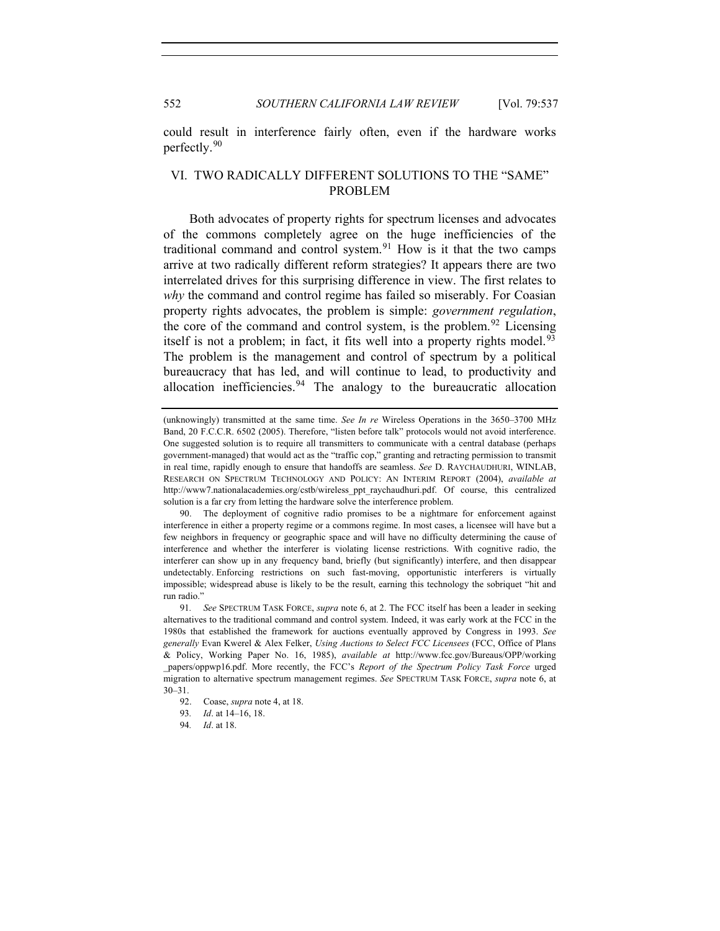552 *SOUTHERN CALIFORNIA LAW REVIEW* [Vol. 79:537

could result in interference fairly often, even if the hardware works perfectly.[90](#page-15-0)

## VI. TWO RADICALLY DIFFERENT SOLUTIONS TO THE "SAME" PROBLEM

Both advocates of property rights for spectrum licenses and advocates of the commons completely agree on the huge inefficiencies of the traditional command and control system. $91$  How is it that the two camps arrive at two radically different reform strategies? It appears there are two interrelated drives for this surprising difference in view. The first relates to *why* the command and control regime has failed so miserably. For Coasian property rights advocates, the problem is simple: *government regulation*, the core of the command and control system, is the problem.<sup>[92](#page-15-2)</sup> Licensing itself is not a problem; in fact, it fits well into a property rights model.<sup>[93](#page-15-3)</sup> The problem is the management and control of spectrum by a political bureaucracy that has led, and will continue to lead, to productivity and allocation inefficiencies.  $94$  The analogy to the bureaucratic allocation

<sup>(</sup>unknowingly) transmitted at the same time. *See In re* Wireless Operations in the 3650–3700 MHz Band, 20 F.C.C.R. 6502 (2005). Therefore, "listen before talk" protocols would not avoid interference. One suggested solution is to require all transmitters to communicate with a central database (perhaps government-managed) that would act as the "traffic cop," granting and retracting permission to transmit in real time, rapidly enough to ensure that handoffs are seamless. *See* D. RAYCHAUDHURI, WINLAB, RESEARCH ON SPECTRUM TECHNOLOGY AND POLICY: AN INTERIM REPORT (2004), *available at* http://www7.nationalacademies.org/cstb/wireless\_ppt\_raychaudhuri.pdf. Of course, this centralized solution is a far cry from letting the hardware solve the interference problem.

<span id="page-15-0"></span> <sup>90.</sup> The deployment of cognitive radio promises to be a nightmare for enforcement against interference in either a property regime or a commons regime. In most cases, a licensee will have but a few neighbors in frequency or geographic space and will have no difficulty determining the cause of interference and whether the interferer is violating license restrictions. With cognitive radio, the interferer can show up in any frequency band, briefly (but significantly) interfere, and then disappear undetectably. Enforcing restrictions on such fast-moving, opportunistic interferers is virtually impossible; widespread abuse is likely to be the result, earning this technology the sobriquet "hit and run radio."

<span id="page-15-1"></span><sup>91</sup>*. See* SPECTRUM TASK FORCE, *supra* note 6, at 2. The FCC itself has been a leader in seeking alternatives to the traditional command and control system. Indeed, it was early work at the FCC in the 1980s that established the framework for auctions eventually approved by Congress in 1993. *See generally* Evan Kwerel & Alex Felker, *Using Auctions to Select FCC Licensees* (FCC, Office of Plans & Policy, Working Paper No. 16, 1985), *available at* http://www.fcc.gov/Bureaus/OPP/working \_papers/oppwp16.pdf. More recently, the FCC's *Report of the Spectrum Policy Task Force* urged migration to alternative spectrum management regimes. *See* SPECTRUM TASK FORCE, *supra* note 6, at 30–31.

<span id="page-15-2"></span><sup>92.</sup> Coase, *supra* note 4, at 18.

<span id="page-15-4"></span><span id="page-15-3"></span><sup>93</sup>*. Id*. at 14–16, 18.

<sup>94</sup>*. Id*. at 18.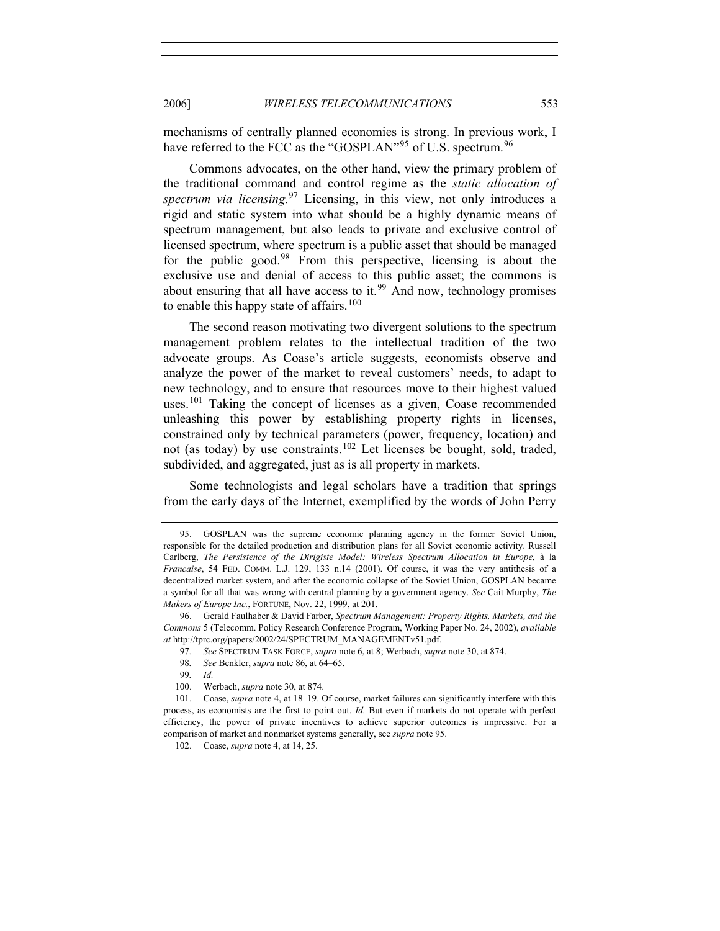mechanisms of centrally planned economies is strong. In previous work, I have referred to the FCC as the "GOSPLAN"<sup>[95](#page-16-0)</sup> of U.S. spectrum.<sup>[96](#page-16-1)</sup>

Commons advocates, on the other hand, view the primary problem of the traditional command and control regime as the *static allocation of spectrum via licensing*. [97](#page-16-2) Licensing, in this view, not only introduces a rigid and static system into what should be a highly dynamic means of spectrum management, but also leads to private and exclusive control of licensed spectrum, where spectrum is a public asset that should be managed for the public good. $98$  From this perspective, licensing is about the exclusive use and denial of access to this public asset; the commons is about ensuring that all have access to it.<sup>[99](#page-16-4)</sup> And now, technology promises to enable this happy state of affairs.<sup>[100](#page-16-5)</sup>

The second reason motivating two divergent solutions to the spectrum management problem relates to the intellectual tradition of the two advocate groups. As Coase's article suggests, economists observe and analyze the power of the market to reveal customers' needs, to adapt to new technology, and to ensure that resources move to their highest valued uses.<sup>[101](#page-16-6)</sup> Taking the concept of licenses as a given, Coase recommended unleashing this power by establishing property rights in licenses, constrained only by technical parameters (power, frequency, location) and not (as today) by use constraints.<sup>[102](#page-16-7)</sup> Let licenses be bought, sold, traded, subdivided, and aggregated, just as is all property in markets.

Some technologists and legal scholars have a tradition that springs from the early days of the Internet, exemplified by the words of John Perry

- 97*. See* SPECTRUM TASK FORCE, *supra* note 6, at 8; Werbach, *supra* note 30, at 874.
- 98*. See* Benkler, *supra* note 86, at 64–65.
- 99*. Id.*
- 100. Werbach, *supra* note 30, at 874.

<span id="page-16-0"></span><sup>95.</sup> GOSPLAN was the supreme economic planning agency in the former Soviet Union, responsible for the detailed production and distribution plans for all Soviet economic activity. Russell Carlberg, *The Persistence of the Dirigiste Model: Wireless Spectrum Allocation in Europe,* à la *Francaise*, 54 FED. COMM. L.J. 129, 133 n.14 (2001). Of course, it was the very antithesis of a decentralized market system, and after the economic collapse of the Soviet Union, GOSPLAN became a symbol for all that was wrong with central planning by a government agency. *See* Cait Murphy, *The Makers of Europe Inc.*, FORTUNE, Nov. 22, 1999, at 201.

<span id="page-16-2"></span><span id="page-16-1"></span><sup>96.</sup> Gerald Faulhaber & David Farber, *Spectrum Management: Property Rights, Markets, and the Commons* 5 (Telecomm. Policy Research Conference Program, Working Paper No. 24, 2002), *available at* http://tprc.org/papers/2002/24/SPECTRUM\_MANAGEMENTv51.pdf.

<span id="page-16-7"></span><span id="page-16-6"></span><span id="page-16-5"></span><span id="page-16-4"></span><span id="page-16-3"></span><sup>101.</sup> Coase, *supra* note 4, at 18–19. Of course, market failures can significantly interfere with this process, as economists are the first to point out. *Id.* But even if markets do not operate with perfect efficiency, the power of private incentives to achieve superior outcomes is impressive. For a comparison of market and nonmarket systems generally, see *supra* note 95.

<sup>102.</sup> Coase, *supra* note 4, at 14, 25.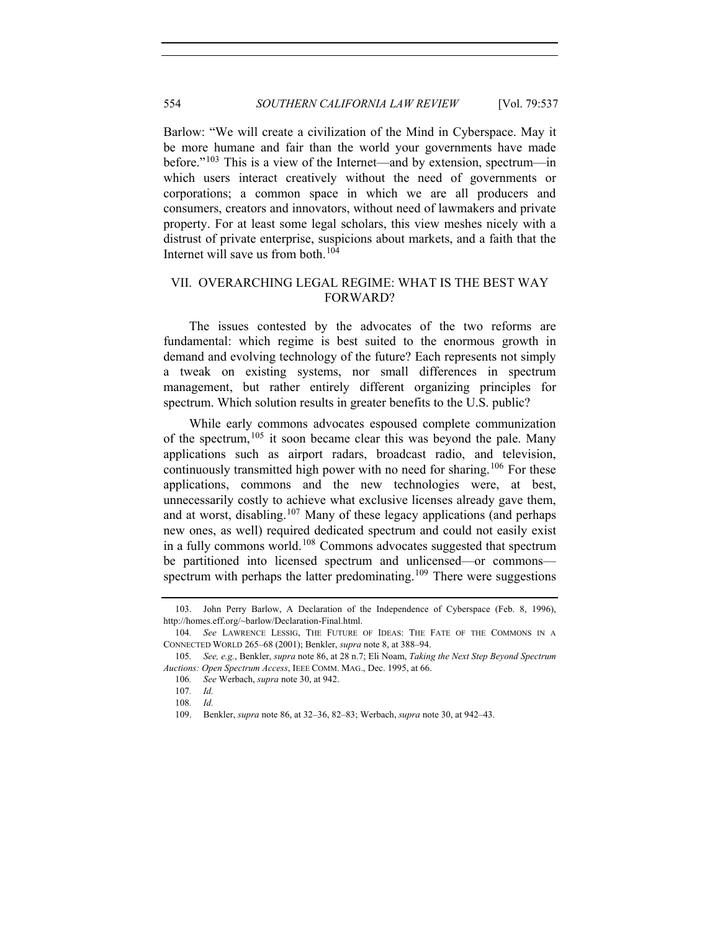Barlow: "We will create a civilization of the Mind in Cyberspace. May it be more humane and fair than the world your governments have made before."[103](#page-17-0) This is a view of the Internet—and by extension, spectrum—in which users interact creatively without the need of governments or corporations; a common space in which we are all producers and consumers, creators and innovators, without need of lawmakers and private property. For at least some legal scholars, this view meshes nicely with a distrust of private enterprise, suspicions about markets, and a faith that the Internet will save us from both.[104](#page-17-1)

## VII. OVERARCHING LEGAL REGIME: WHAT IS THE BEST WAY FORWARD?

The issues contested by the advocates of the two reforms are fundamental: which regime is best suited to the enormous growth in demand and evolving technology of the future? Each represents not simply a tweak on existing systems, nor small differences in spectrum management, but rather entirely different organizing principles for spectrum. Which solution results in greater benefits to the U.S. public?

While early commons advocates espoused complete communization of the spectrum,  $105$  it soon became clear this was beyond the pale. Many applications such as airport radars, broadcast radio, and television, continuously transmitted high power with no need for sharing.<sup>[106](#page-17-3)</sup> For these applications, commons and the new technologies were, at best, unnecessarily costly to achieve what exclusive licenses already gave them, and at worst, disabling.<sup>[107](#page-17-4)</sup> Many of these legacy applications (and perhaps new ones, as well) required dedicated spectrum and could not easily exist in a fully commons world.<sup>[108](#page-17-5)</sup> Commons advocates suggested that spectrum be partitioned into licensed spectrum and unlicensed—or commons— spectrum with perhaps the latter predominating.<sup>[109](#page-17-6)</sup> There were suggestions

<span id="page-17-0"></span><sup>103.</sup> John Perry Barlow, A Declaration of the Independence of Cyberspace (Feb. 8, 1996), http://homes.eff.org/~barlow/Declaration-Final.html.

<span id="page-17-1"></span><sup>104</sup>*. See* LAWRENCE LESSIG, THE FUTURE OF IDEAS: THE FATE OF THE COMMONS IN A CONNECTED WORLD 265–68 (2001); Benkler, *supra* note 8, at 388–94.

<span id="page-17-6"></span><span id="page-17-5"></span><span id="page-17-4"></span><span id="page-17-3"></span><span id="page-17-2"></span><sup>105</sup>*. See, e.g.*, Benkler, *supra* note 86, at 28 n.7; Eli Noam, *Taking the Next Step Beyond Spectrum Auctions: Open Spectrum Access*, IEEE COMM. MAG., Dec. 1995, at 66.

<sup>106</sup>*. See* Werbach, *supra* note 30, at 942.

<sup>107</sup>*. Id.*

<sup>108</sup>*. Id.*

<sup>109.</sup> Benkler, *supra* note 86, at 32–36, 82–83; Werbach, *supra* note 30, at 942–43.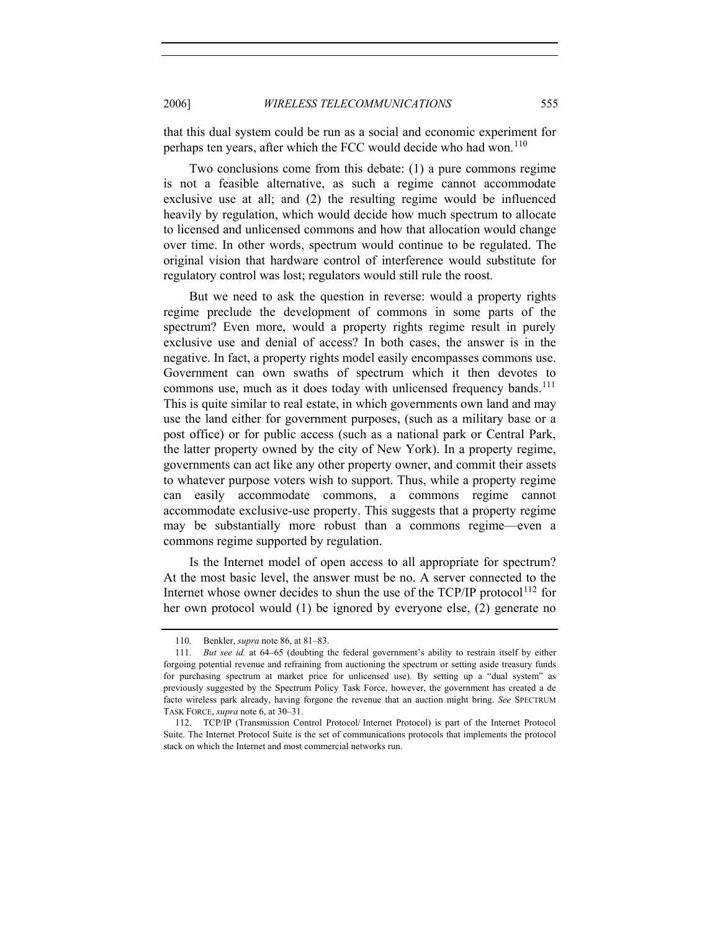that this dual system could be run as a social and economic experiment for perhaps ten years, after which the FCC would decide who had won.<sup>[110](#page-18-0)</sup>

Two conclusions come from this debate: (1) a pure commons regime is not a feasible alternative, as such a regime cannot accommodate exclusive use at all; and (2) the resulting regime would be influenced heavily by regulation, which would decide how much spectrum to allocate to licensed and unlicensed commons and how that allocation would change over time. In other words, spectrum would continue to be regulated. The original vision that hardware control of interference would substitute for regulatory control was lost; regulators would still rule the roost.

But we need to ask the question in reverse: would a property rights regime preclude the development of commons in some parts of the spectrum? Even more, would a property rights regime result in purely exclusive use and denial of access? In both cases, the answer is in the negative. In fact, a property rights model easily encompasses commons use. Government can own swaths of spectrum which it then devotes to commons use, much as it does today with unlicensed frequency bands.<sup>[111](#page-18-1)</sup> This is quite similar to real estate, in which governments own land and may use the land either for government purposes, (such as a military base or a post office) or for public access (such as a national park or Central Park, the latter property owned by the city of New York). In a property regime, governments can act like any other property owner, and commit their assets to whatever purpose voters wish to support. Thus, while a property regime can easily accommodate commons, a commons regime cannot accommodate exclusive-use property. This suggests that a property regime may be substantially more robust than a commons regime—even a commons regime supported by regulation.

Is the Internet model of open access to all appropriate for spectrum? At the most basic level, the answer must be no. A server connected to the Internet whose owner decides to shun the use of the  $TCP/IP$  protocol<sup>[112](#page-18-2)</sup> for her own protocol would (1) be ignored by everyone else, (2) generate no

<sup>110</sup>*.* Benkler, *supra* note 86, at 81–83.

<span id="page-18-1"></span><span id="page-18-0"></span><sup>111</sup>*. But see id.* at 64–65 (doubting the federal government's ability to restrain itself by either forgoing potential revenue and refraining from auctioning the spectrum or setting aside treasury funds for purchasing spectrum at market price for unlicensed use). By setting up a "dual system" as previously suggested by the Spectrum Policy Task Force, however, the government has created a de facto wireless park already, having forgone the revenue that an auction might bring. *See* SPECTRUM TASK FORCE, *supra* note 6, at 30–31.

<span id="page-18-2"></span><sup>112.</sup> TCP/IP (Transmission Control Protocol/ Internet Protocol) is part of the Internet Protocol Suite. The Internet Protocol Suite is the set of communications protocols that implements the protocol stack on which the Internet and most commercial networks run.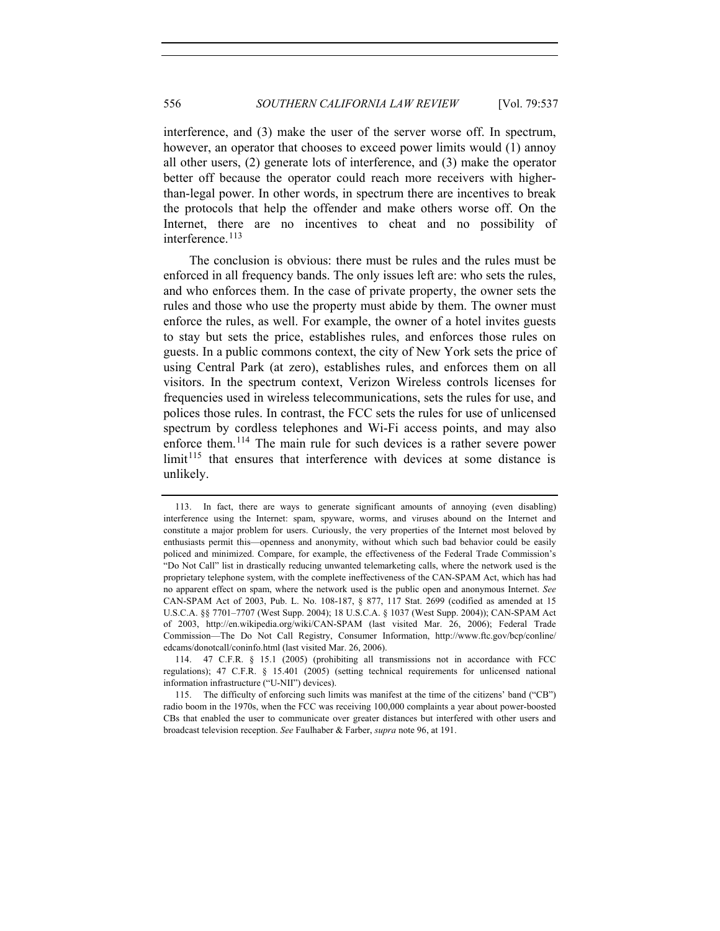interference, and (3) make the user of the server worse off. In spectrum, however, an operator that chooses to exceed power limits would (1) annoy all other users, (2) generate lots of interference, and (3) make the operator better off because the operator could reach more receivers with higherthan-legal power. In other words, in spectrum there are incentives to break the protocols that help the offender and make others worse off. On the Internet, there are no incentives to cheat and no possibility of interference.<sup>[113](#page-19-0)</sup>

The conclusion is obvious: there must be rules and the rules must be enforced in all frequency bands. The only issues left are: who sets the rules, and who enforces them. In the case of private property, the owner sets the rules and those who use the property must abide by them. The owner must enforce the rules, as well. For example, the owner of a hotel invites guests to stay but sets the price, establishes rules, and enforces those rules on guests. In a public commons context, the city of New York sets the price of using Central Park (at zero), establishes rules, and enforces them on all visitors. In the spectrum context, Verizon Wireless controls licenses for frequencies used in wireless telecommunications, sets the rules for use, and polices those rules. In contrast, the FCC sets the rules for use of unlicensed spectrum by cordless telephones and Wi-Fi access points, and may also enforce them.<sup>[114](#page-19-1)</sup> The main rule for such devices is a rather severe power  $\lim_{t\to 1}$  that ensures that interference with devices at some distance is unlikely.

<span id="page-19-0"></span><sup>113.</sup> In fact, there are ways to generate significant amounts of annoying (even disabling) interference using the Internet: spam, spyware, worms, and viruses abound on the Internet and constitute a major problem for users. Curiously, the very properties of the Internet most beloved by enthusiasts permit this—openness and anonymity, without which such bad behavior could be easily policed and minimized. Compare, for example, the effectiveness of the Federal Trade Commission's "Do Not Call" list in drastically reducing unwanted telemarketing calls, where the network used is the proprietary telephone system, with the complete ineffectiveness of the CAN-SPAM Act, which has had no apparent effect on spam, where the network used is the public open and anonymous Internet. *See* CAN-SPAM Act of 2003, Pub. L. No. 108-187, § 877, 117 Stat. 2699 (codified as amended at 15 U.S.C.A. §§ 7701–7707 (West Supp. 2004); 18 U.S.C.A. § 1037 (West Supp. 2004)); CAN-SPAM Act of 2003, http://en.wikipedia.org/wiki/CAN-SPAM (last visited Mar. 26, 2006); Federal Trade Commission—The Do Not Call Registry, Consumer Information, http://www.ftc.gov/bcp/conline/ edcams/donotcall/coninfo.html (last visited Mar. 26, 2006).

<span id="page-19-1"></span><sup>114. 47</sup> C.F.R. § 15.1 (2005) (prohibiting all transmissions not in accordance with FCC regulations); 47 C.F.R. § 15.401 (2005) (setting technical requirements for unlicensed national information infrastructure ("U-NII") devices).

<span id="page-19-2"></span><sup>115.</sup> The difficulty of enforcing such limits was manifest at the time of the citizens' band ("CB") radio boom in the 1970s, when the FCC was receiving 100,000 complaints a year about power-boosted CBs that enabled the user to communicate over greater distances but interfered with other users and broadcast television reception. *See* Faulhaber & Farber, *supra* note 96, at 191.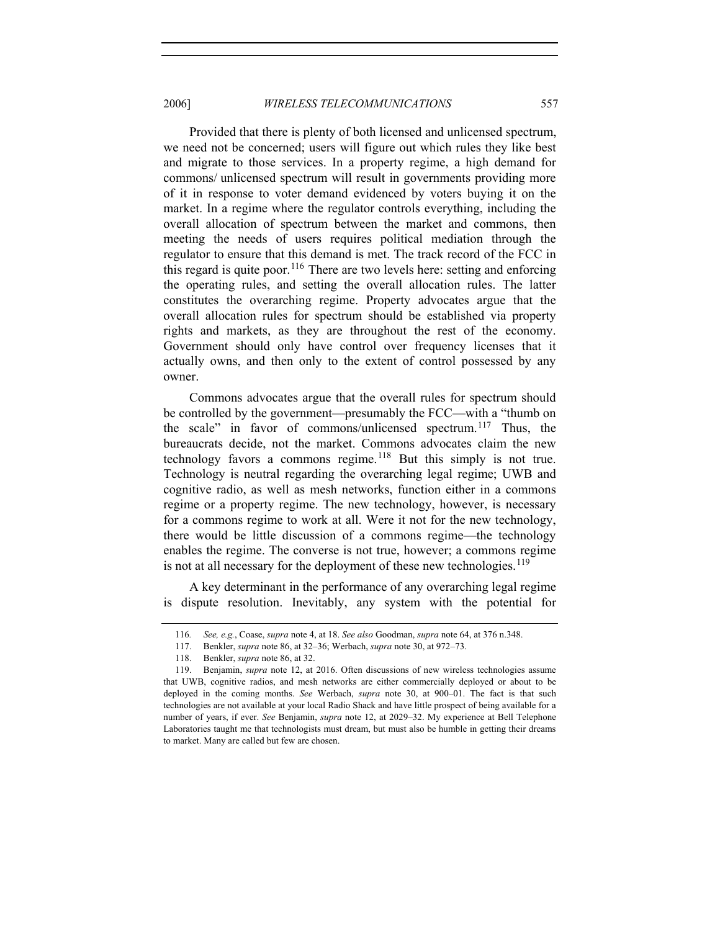#### 2006] *WIRELESS TELECOMMUNICATIONS* 557

Provided that there is plenty of both licensed and unlicensed spectrum, we need not be concerned; users will figure out which rules they like best and migrate to those services. In a property regime, a high demand for commons/ unlicensed spectrum will result in governments providing more of it in response to voter demand evidenced by voters buying it on the market. In a regime where the regulator controls everything, including the overall allocation of spectrum between the market and commons, then meeting the needs of users requires political mediation through the regulator to ensure that this demand is met. The track record of the FCC in this regard is quite poor.<sup>[116](#page-20-0)</sup> There are two levels here: setting and enforcing the operating rules, and setting the overall allocation rules. The latter constitutes the overarching regime. Property advocates argue that the overall allocation rules for spectrum should be established via property rights and markets, as they are throughout the rest of the economy. Government should only have control over frequency licenses that it actually owns, and then only to the extent of control possessed by any owner.

Commons advocates argue that the overall rules for spectrum should be controlled by the government—presumably the FCC—with a "thumb on the scale" in favor of commons/unlicensed spectrum.<sup>[117](#page-20-1)</sup> Thus, the bureaucrats decide, not the market. Commons advocates claim the new technology favors a commons regime.<sup>[118](#page-20-2)</sup> But this simply is not true. Technology is neutral regarding the overarching legal regime; UWB and cognitive radio, as well as mesh networks, function either in a commons regime or a property regime. The new technology, however, is necessary for a commons regime to work at all. Were it not for the new technology, there would be little discussion of a commons regime—the technology enables the regime. The converse is not true, however; a commons regime is not at all necessary for the deployment of these new technologies.<sup>[119](#page-20-3)</sup>

A key determinant in the performance of any overarching legal regime is dispute resolution. Inevitably, any system with the potential for

<sup>116</sup>*. See, e.g.*, Coase, *supra* note 4, at 18. *See also* Goodman, *supra* note 64, at 376 n.348.

<sup>117.</sup> Benkler, *supra* note 86, at 32–36; Werbach, *supra* note 30, at 972–73.

<sup>118.</sup> Benkler, *supra* note 86, at 32.

<span id="page-20-3"></span><span id="page-20-2"></span><span id="page-20-1"></span><span id="page-20-0"></span><sup>119.</sup> Benjamin, *supra* note 12, at 2016. Often discussions of new wireless technologies assume that UWB, cognitive radios, and mesh networks are either commercially deployed or about to be deployed in the coming months. *See* Werbach, *supra* note 30, at 900–01. The fact is that such technologies are not available at your local Radio Shack and have little prospect of being available for a number of years, if ever. *See* Benjamin, *supra* note 12, at 2029–32. My experience at Bell Telephone Laboratories taught me that technologists must dream, but must also be humble in getting their dreams to market. Many are called but few are chosen.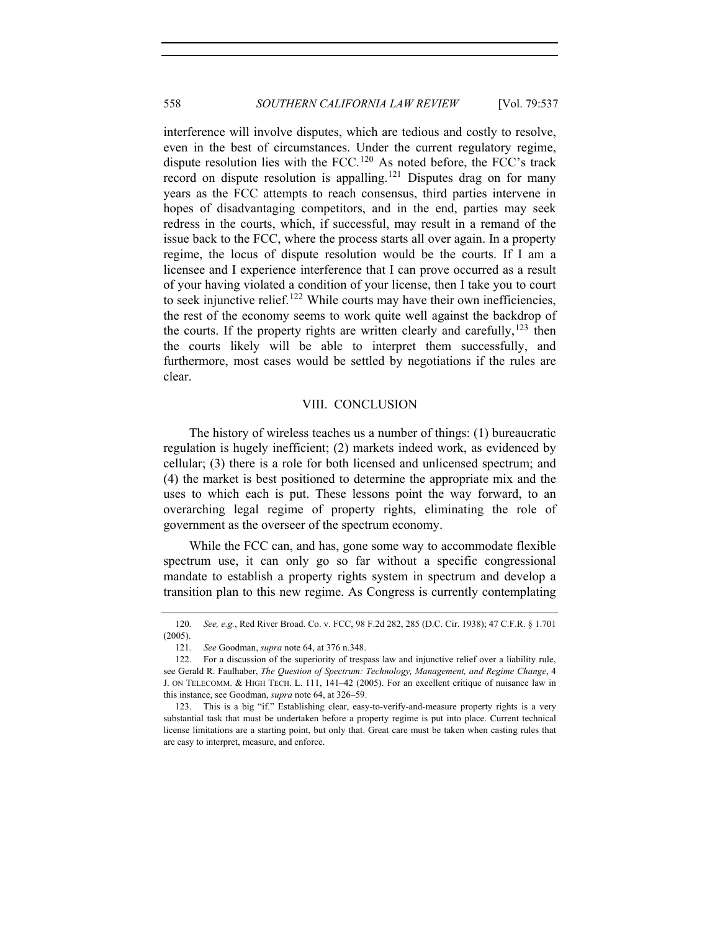interference will involve disputes, which are tedious and costly to resolve, even in the best of circumstances. Under the current regulatory regime, dispute resolution lies with the FCC.[120](#page-21-0) As noted before, the FCC's track record on dispute resolution is appalling.<sup>[121](#page-21-1)</sup> Disputes drag on for many years as the FCC attempts to reach consensus, third parties intervene in hopes of disadvantaging competitors, and in the end, parties may seek redress in the courts, which, if successful, may result in a remand of the issue back to the FCC, where the process starts all over again. In a property regime, the locus of dispute resolution would be the courts. If I am a licensee and I experience interference that I can prove occurred as a result of your having violated a condition of your license, then I take you to court to seek injunctive relief.<sup>[122](#page-21-2)</sup> While courts may have their own inefficiencies, the rest of the economy seems to work quite well against the backdrop of the courts. If the property rights are written clearly and carefully,  $123$  then the courts likely will be able to interpret them successfully, and furthermore, most cases would be settled by negotiations if the rules are clear.

#### VIII. CONCLUSION

The history of wireless teaches us a number of things: (1) bureaucratic regulation is hugely inefficient; (2) markets indeed work, as evidenced by cellular; (3) there is a role for both licensed and unlicensed spectrum; and (4) the market is best positioned to determine the appropriate mix and the uses to which each is put. These lessons point the way forward, to an overarching legal regime of property rights, eliminating the role of government as the overseer of the spectrum economy.

While the FCC can, and has, gone some way to accommodate flexible spectrum use, it can only go so far without a specific congressional mandate to establish a property rights system in spectrum and develop a transition plan to this new regime. As Congress is currently contemplating

<span id="page-21-0"></span><sup>120</sup>*. See, e.g.*, Red River Broad. Co. v. FCC, 98 F.2d 282, 285 (D.C. Cir. 1938); 47 C.F.R. § 1.701 (2005).

<sup>121</sup>*. See* Goodman, *supra* note 64, at 376 n.348.

<span id="page-21-2"></span><span id="page-21-1"></span><sup>122.</sup> For a discussion of the superiority of trespass law and injunctive relief over a liability rule, see Gerald R. Faulhaber, *The Question of Spectrum: Technology, Management, and Regime Change*, 4 J. ON TELECOMM. & HIGH TECH. L. 111, 141–42 (2005). For an excellent critique of nuisance law in this instance, see Goodman, *supra* note 64, at 326–59.

<span id="page-21-3"></span><sup>123.</sup> This is a big "if." Establishing clear, easy-to-verify-and-measure property rights is a very substantial task that must be undertaken before a property regime is put into place. Current technical license limitations are a starting point, but only that. Great care must be taken when casting rules that are easy to interpret, measure, and enforce.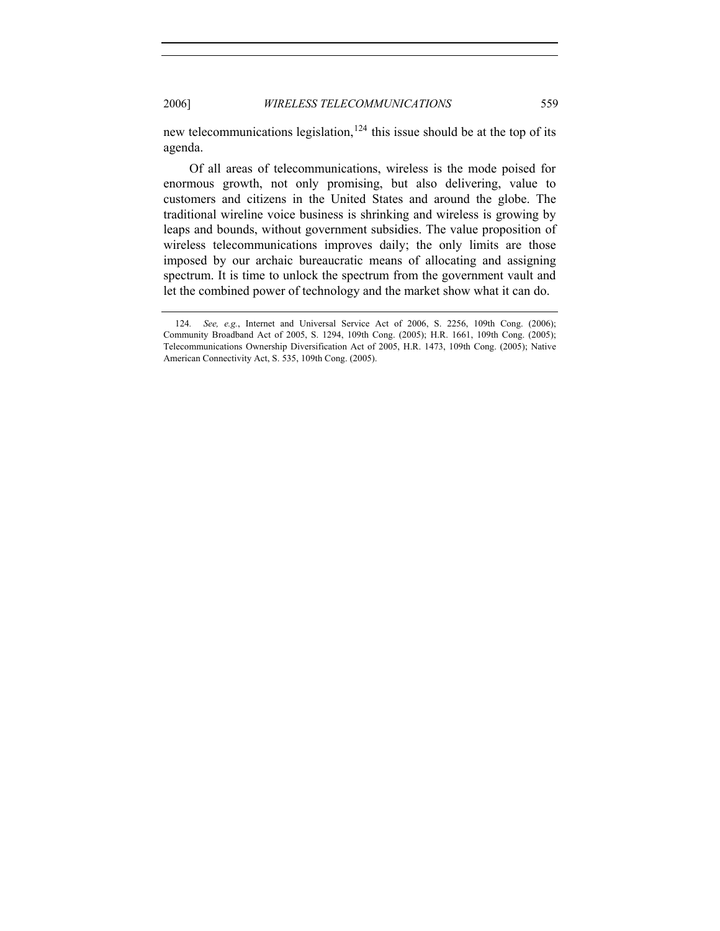new telecommunications legislation,  $124$  this issue should be at the top of its agenda.

 Of all areas of telecommunications, wireless is the mode poised for enormous growth, not only promising, but also delivering, value to customers and citizens in the United States and around the globe. The traditional wireline voice business is shrinking and wireless is growing by leaps and bounds, without government subsidies. The value proposition of wireless telecommunications improves daily; the only limits are those imposed by our archaic bureaucratic means of allocating and assigning spectrum. It is time to unlock the spectrum from the government vault and let the combined power of technology and the market show what it can do.

<span id="page-22-0"></span><sup>124</sup>*. See, e.g.*, Internet and Universal Service Act of 2006, S. 2256, 109th Cong. (2006); Community Broadband Act of 2005, S. 1294, 109th Cong. (2005); H.R. 1661, 109th Cong. (2005); Telecommunications Ownership Diversification Act of 2005, H.R. 1473, 109th Cong. (2005); Native American Connectivity Act, S. 535, 109th Cong. (2005).